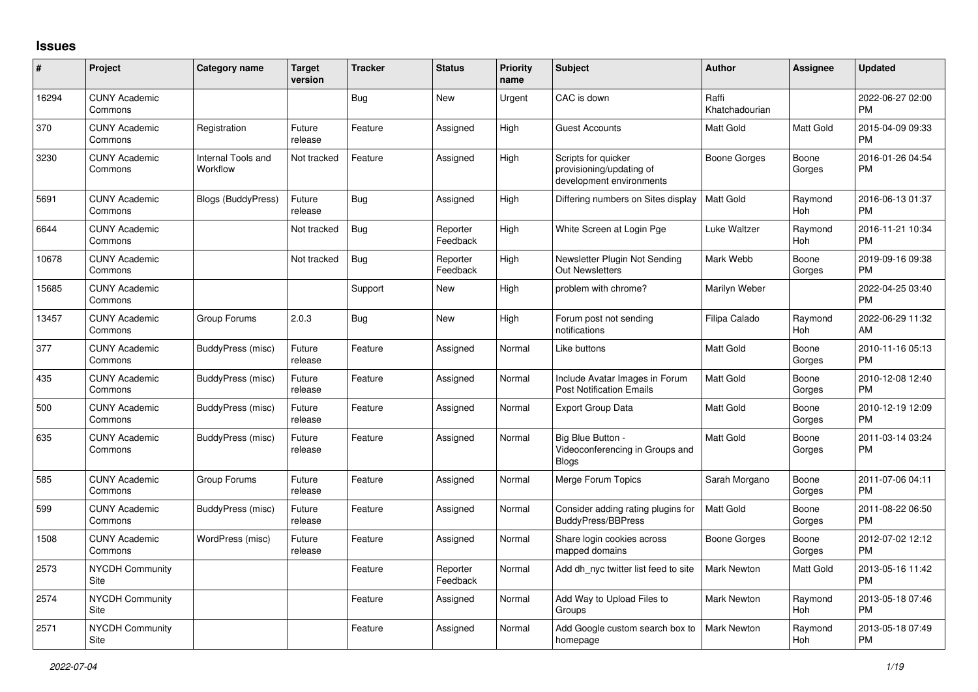## **Issues**

| #     | Project                         | <b>Category name</b>           | <b>Target</b><br>version | <b>Tracker</b> | <b>Status</b>        | Priority<br>name | <b>Subject</b>                                                              | <b>Author</b>           | <b>Assignee</b> | <b>Updated</b>                |
|-------|---------------------------------|--------------------------------|--------------------------|----------------|----------------------|------------------|-----------------------------------------------------------------------------|-------------------------|-----------------|-------------------------------|
| 16294 | <b>CUNY Academic</b><br>Commons |                                |                          | <b>Bug</b>     | <b>New</b>           | Urgent           | CAC is down                                                                 | Raffi<br>Khatchadourian |                 | 2022-06-27 02:00<br><b>PM</b> |
| 370   | <b>CUNY Academic</b><br>Commons | Registration                   | Future<br>release        | Feature        | Assigned             | High             | <b>Guest Accounts</b>                                                       | <b>Matt Gold</b>        | Matt Gold       | 2015-04-09 09:33<br><b>PM</b> |
| 3230  | <b>CUNY Academic</b><br>Commons | Internal Tools and<br>Workflow | Not tracked              | Feature        | Assigned             | High             | Scripts for quicker<br>provisioning/updating of<br>development environments | Boone Gorges            | Boone<br>Gorges | 2016-01-26 04:54<br><b>PM</b> |
| 5691  | <b>CUNY Academic</b><br>Commons | <b>Blogs (BuddyPress)</b>      | Future<br>release        | Bug            | Assigned             | High             | Differing numbers on Sites display                                          | <b>Matt Gold</b>        | Raymond<br>Hoh  | 2016-06-13 01:37<br><b>PM</b> |
| 6644  | <b>CUNY Academic</b><br>Commons |                                | Not tracked              | Bug            | Reporter<br>Feedback | High             | White Screen at Login Pge                                                   | Luke Waltzer            | Raymond<br>Hoh  | 2016-11-21 10:34<br><b>PM</b> |
| 10678 | <b>CUNY Academic</b><br>Commons |                                | Not tracked              | <b>Bug</b>     | Reporter<br>Feedback | High             | Newsletter Plugin Not Sending<br><b>Out Newsletters</b>                     | Mark Webb               | Boone<br>Gorges | 2019-09-16 09:38<br><b>PM</b> |
| 15685 | <b>CUNY Academic</b><br>Commons |                                |                          | Support        | New                  | High             | problem with chrome?                                                        | Marilyn Weber           |                 | 2022-04-25 03:40<br><b>PM</b> |
| 13457 | <b>CUNY Academic</b><br>Commons | Group Forums                   | 2.0.3                    | Bug            | New                  | High             | Forum post not sending<br>notifications                                     | Filipa Calado           | Raymond<br>Hoh  | 2022-06-29 11:32<br>AM        |
| 377   | <b>CUNY Academic</b><br>Commons | BuddyPress (misc)              | Future<br>release        | Feature        | Assigned             | Normal           | Like buttons                                                                | <b>Matt Gold</b>        | Boone<br>Gorges | 2010-11-16 05:13<br><b>PM</b> |
| 435   | <b>CUNY Academic</b><br>Commons | BuddyPress (misc)              | Future<br>release        | Feature        | Assigned             | Normal           | Include Avatar Images in Forum<br><b>Post Notification Emails</b>           | <b>Matt Gold</b>        | Boone<br>Gorges | 2010-12-08 12:40<br><b>PM</b> |
| 500   | <b>CUNY Academic</b><br>Commons | BuddyPress (misc)              | Future<br>release        | Feature        | Assigned             | Normal           | <b>Export Group Data</b>                                                    | Matt Gold               | Boone<br>Gorges | 2010-12-19 12:09<br><b>PM</b> |
| 635   | <b>CUNY Academic</b><br>Commons | BuddyPress (misc)              | Future<br>release        | Feature        | Assigned             | Normal           | Big Blue Button -<br>Videoconferencing in Groups and<br><b>Blogs</b>        | <b>Matt Gold</b>        | Boone<br>Gorges | 2011-03-14 03:24<br><b>PM</b> |
| 585   | <b>CUNY Academic</b><br>Commons | Group Forums                   | Future<br>release        | Feature        | Assigned             | Normal           | Merge Forum Topics                                                          | Sarah Morgano           | Boone<br>Gorges | 2011-07-06 04:11<br><b>PM</b> |
| 599   | <b>CUNY Academic</b><br>Commons | BuddyPress (misc)              | Future<br>release        | Feature        | Assigned             | Normal           | Consider adding rating plugins for<br><b>BuddyPress/BBPress</b>             | <b>Matt Gold</b>        | Boone<br>Gorges | 2011-08-22 06:50<br><b>PM</b> |
| 1508  | <b>CUNY Academic</b><br>Commons | WordPress (misc)               | Future<br>release        | Feature        | Assigned             | Normal           | Share login cookies across<br>mapped domains                                | Boone Gorges            | Boone<br>Gorges | 2012-07-02 12:12<br><b>PM</b> |
| 2573  | <b>NYCDH Community</b><br>Site  |                                |                          | Feature        | Reporter<br>Feedback | Normal           | Add dh nyc twitter list feed to site                                        | Mark Newton             | Matt Gold       | 2013-05-16 11:42<br><b>PM</b> |
| 2574  | <b>NYCDH Community</b><br>Site  |                                |                          | Feature        | Assigned             | Normal           | Add Way to Upload Files to<br>Groups                                        | <b>Mark Newton</b>      | Raymond<br>Hoh  | 2013-05-18 07:46<br><b>PM</b> |
| 2571  | <b>NYCDH Community</b><br>Site  |                                |                          | Feature        | Assigned             | Normal           | Add Google custom search box to<br>homepage                                 | <b>Mark Newton</b>      | Raymond<br>Hoh  | 2013-05-18 07:49<br><b>PM</b> |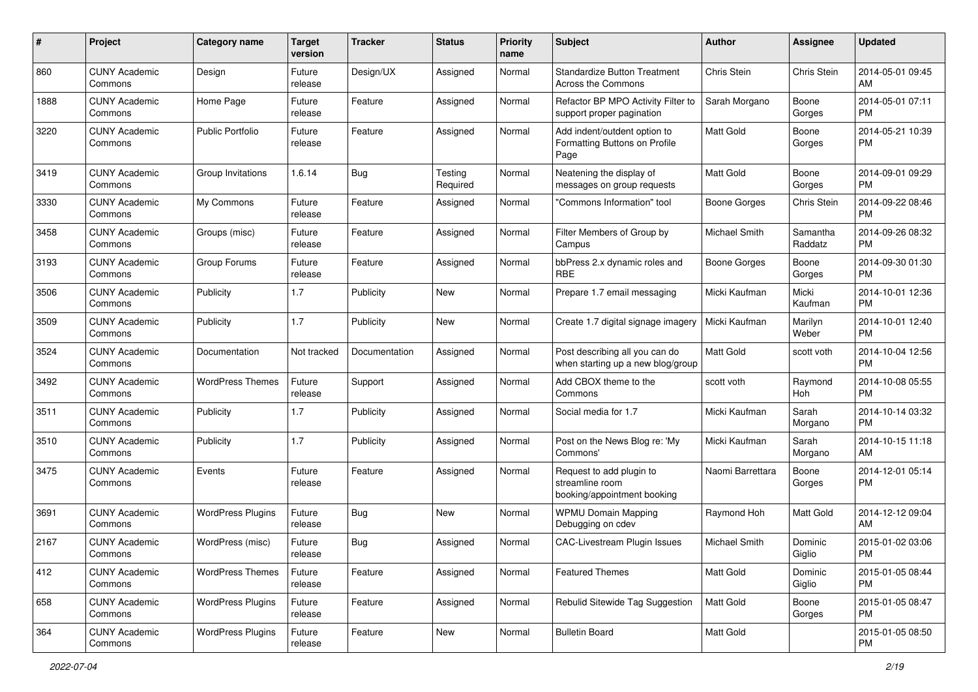| #    | Project                         | <b>Category name</b>     | <b>Target</b><br>version | <b>Tracker</b> | <b>Status</b>       | Priority<br>name | <b>Subject</b>                                                             | <b>Author</b>       | <b>Assignee</b>     | <b>Updated</b>                |
|------|---------------------------------|--------------------------|--------------------------|----------------|---------------------|------------------|----------------------------------------------------------------------------|---------------------|---------------------|-------------------------------|
| 860  | <b>CUNY Academic</b><br>Commons | Design                   | Future<br>release        | Design/UX      | Assigned            | Normal           | <b>Standardize Button Treatment</b><br><b>Across the Commons</b>           | Chris Stein         | Chris Stein         | 2014-05-01 09:45<br>AM.       |
| 1888 | <b>CUNY Academic</b><br>Commons | Home Page                | Future<br>release        | Feature        | Assigned            | Normal           | Refactor BP MPO Activity Filter to<br>support proper pagination            | Sarah Morgano       | Boone<br>Gorges     | 2014-05-01 07:11<br><b>PM</b> |
| 3220 | <b>CUNY Academic</b><br>Commons | <b>Public Portfolio</b>  | Future<br>release        | Feature        | Assigned            | Normal           | Add indent/outdent option to<br>Formatting Buttons on Profile<br>Page      | Matt Gold           | Boone<br>Gorges     | 2014-05-21 10:39<br><b>PM</b> |
| 3419 | <b>CUNY Academic</b><br>Commons | Group Invitations        | 1.6.14                   | Bug            | Testing<br>Required | Normal           | Neatening the display of<br>messages on group requests                     | Matt Gold           | Boone<br>Gorges     | 2014-09-01 09:29<br>PM.       |
| 3330 | <b>CUNY Academic</b><br>Commons | My Commons               | Future<br>release        | Feature        | Assigned            | Normal           | 'Commons Information" tool                                                 | <b>Boone Gorges</b> | Chris Stein         | 2014-09-22 08:46<br><b>PM</b> |
| 3458 | <b>CUNY Academic</b><br>Commons | Groups (misc)            | Future<br>release        | Feature        | Assigned            | Normal           | Filter Members of Group by<br>Campus                                       | Michael Smith       | Samantha<br>Raddatz | 2014-09-26 08:32<br><b>PM</b> |
| 3193 | <b>CUNY Academic</b><br>Commons | Group Forums             | Future<br>release        | Feature        | Assigned            | Normal           | bbPress 2.x dynamic roles and<br><b>RBE</b>                                | Boone Gorges        | Boone<br>Gorges     | 2014-09-30 01:30<br><b>PM</b> |
| 3506 | <b>CUNY Academic</b><br>Commons | Publicity                | 1.7                      | Publicity      | New                 | Normal           | Prepare 1.7 email messaging                                                | Micki Kaufman       | Micki<br>Kaufman    | 2014-10-01 12:36<br><b>PM</b> |
| 3509 | <b>CUNY Academic</b><br>Commons | Publicity                | 1.7                      | Publicity      | New                 | Normal           | Create 1.7 digital signage imagery                                         | Micki Kaufman       | Marilyn<br>Weber    | 2014-10-01 12:40<br>PM.       |
| 3524 | <b>CUNY Academic</b><br>Commons | Documentation            | Not tracked              | Documentation  | Assigned            | Normal           | Post describing all you can do<br>when starting up a new blog/group        | <b>Matt Gold</b>    | scott voth          | 2014-10-04 12:56<br><b>PM</b> |
| 3492 | <b>CUNY Academic</b><br>Commons | <b>WordPress Themes</b>  | Future<br>release        | Support        | Assigned            | Normal           | Add CBOX theme to the<br>Commons                                           | scott voth          | Raymond<br>Hoh      | 2014-10-08 05:55<br><b>PM</b> |
| 3511 | <b>CUNY Academic</b><br>Commons | Publicity                | 1.7                      | Publicity      | Assigned            | Normal           | Social media for 1.7                                                       | Micki Kaufman       | Sarah<br>Morgano    | 2014-10-14 03:32<br>PM.       |
| 3510 | <b>CUNY Academic</b><br>Commons | Publicity                | 1.7                      | Publicity      | Assigned            | Normal           | Post on the News Blog re: 'My<br>Commons'                                  | Micki Kaufman       | Sarah<br>Morgano    | 2014-10-15 11:18<br>AM        |
| 3475 | <b>CUNY Academic</b><br>Commons | Events                   | Future<br>release        | Feature        | Assigned            | Normal           | Request to add plugin to<br>streamline room<br>booking/appointment booking | Naomi Barrettara    | Boone<br>Gorges     | 2014-12-01 05:14<br><b>PM</b> |
| 3691 | <b>CUNY Academic</b><br>Commons | <b>WordPress Plugins</b> | Future<br>release        | Bug            | New                 | Normal           | <b>WPMU Domain Mapping</b><br>Debugging on cdev                            | Raymond Hoh         | Matt Gold           | 2014-12-12 09:04<br>AM        |
| 2167 | <b>CUNY Academic</b><br>Commons | WordPress (misc)         | Future<br>release        | Bug            | Assigned            | Normal           | <b>CAC-Livestream Plugin Issues</b>                                        | Michael Smith       | Dominic<br>Giglio   | 2015-01-02 03:06<br>PM        |
| 412  | <b>CUNY Academic</b><br>Commons | <b>WordPress Themes</b>  | Future<br>release        | Feature        | Assigned            | Normal           | <b>Featured Themes</b>                                                     | Matt Gold           | Dominic<br>Giglio   | 2015-01-05 08:44<br>PM.       |
| 658  | <b>CUNY Academic</b><br>Commons | <b>WordPress Plugins</b> | Future<br>release        | Feature        | Assigned            | Normal           | Rebulid Sitewide Tag Suggestion                                            | Matt Gold           | Boone<br>Gorges     | 2015-01-05 08:47<br><b>PM</b> |
| 364  | <b>CUNY Academic</b><br>Commons | <b>WordPress Plugins</b> | Future<br>release        | Feature        | New                 | Normal           | <b>Bulletin Board</b>                                                      | Matt Gold           |                     | 2015-01-05 08:50<br><b>PM</b> |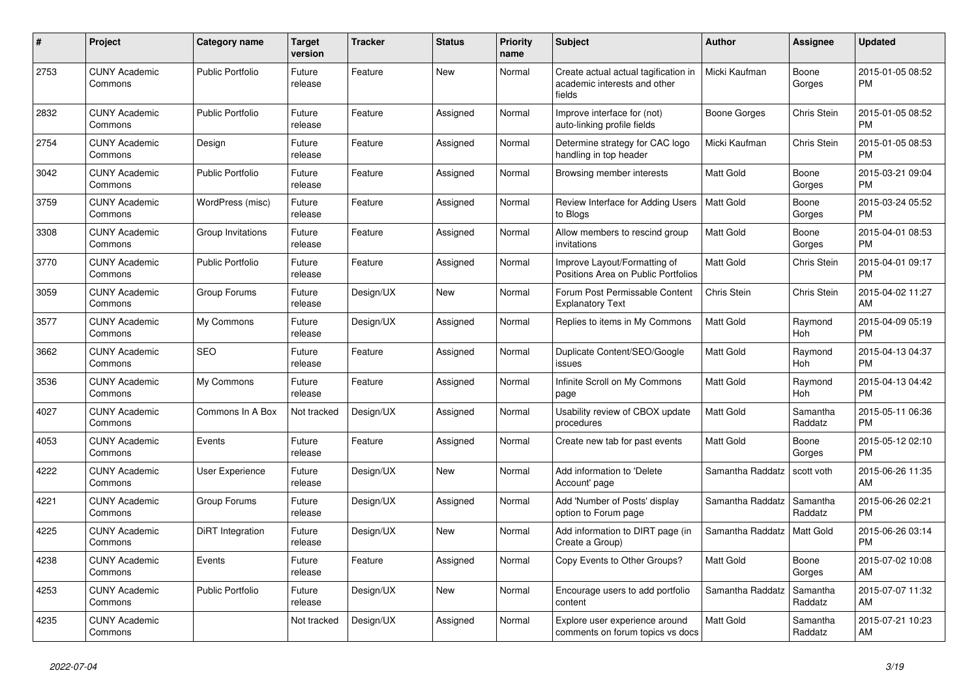| #    | <b>Project</b>                  | Category name           | <b>Target</b><br>version | <b>Tracker</b> | <b>Status</b> | <b>Priority</b><br>name | <b>Subject</b>                                                                 | <b>Author</b>    | <b>Assignee</b>     | <b>Updated</b>                |
|------|---------------------------------|-------------------------|--------------------------|----------------|---------------|-------------------------|--------------------------------------------------------------------------------|------------------|---------------------|-------------------------------|
| 2753 | <b>CUNY Academic</b><br>Commons | <b>Public Portfolio</b> | Future<br>release        | Feature        | New           | Normal                  | Create actual actual tagification in<br>academic interests and other<br>fields | Micki Kaufman    | Boone<br>Gorges     | 2015-01-05 08:52<br><b>PM</b> |
| 2832 | <b>CUNY Academic</b><br>Commons | <b>Public Portfolio</b> | Future<br>release        | Feature        | Assigned      | Normal                  | Improve interface for (not)<br>auto-linking profile fields                     | Boone Gorges     | Chris Stein         | 2015-01-05 08:52<br><b>PM</b> |
| 2754 | <b>CUNY Academic</b><br>Commons | Design                  | Future<br>release        | Feature        | Assigned      | Normal                  | Determine strategy for CAC logo<br>handling in top header                      | Micki Kaufman    | Chris Stein         | 2015-01-05 08:53<br><b>PM</b> |
| 3042 | <b>CUNY Academic</b><br>Commons | <b>Public Portfolio</b> | Future<br>release        | Feature        | Assigned      | Normal                  | Browsing member interests                                                      | <b>Matt Gold</b> | Boone<br>Gorges     | 2015-03-21 09:04<br><b>PM</b> |
| 3759 | <b>CUNY Academic</b><br>Commons | WordPress (misc)        | Future<br>release        | Feature        | Assigned      | Normal                  | Review Interface for Adding Users<br>to Blogs                                  | Matt Gold        | Boone<br>Gorges     | 2015-03-24 05:52<br><b>PM</b> |
| 3308 | <b>CUNY Academic</b><br>Commons | Group Invitations       | Future<br>release        | Feature        | Assigned      | Normal                  | Allow members to rescind group<br>invitations                                  | <b>Matt Gold</b> | Boone<br>Gorges     | 2015-04-01 08:53<br><b>PM</b> |
| 3770 | <b>CUNY Academic</b><br>Commons | Public Portfolio        | Future<br>release        | Feature        | Assigned      | Normal                  | Improve Layout/Formatting of<br>Positions Area on Public Portfolios            | <b>Matt Gold</b> | Chris Stein         | 2015-04-01 09:17<br><b>PM</b> |
| 3059 | <b>CUNY Academic</b><br>Commons | Group Forums            | Future<br>release        | Design/UX      | New           | Normal                  | Forum Post Permissable Content<br><b>Explanatory Text</b>                      | Chris Stein      | Chris Stein         | 2015-04-02 11:27<br>AM        |
| 3577 | <b>CUNY Academic</b><br>Commons | My Commons              | Future<br>release        | Design/UX      | Assigned      | Normal                  | Replies to items in My Commons                                                 | <b>Matt Gold</b> | Raymond<br>Hoh      | 2015-04-09 05:19<br><b>PM</b> |
| 3662 | <b>CUNY Academic</b><br>Commons | <b>SEO</b>              | Future<br>release        | Feature        | Assigned      | Normal                  | Duplicate Content/SEO/Google<br>issues                                         | <b>Matt Gold</b> | Raymond<br>Hoh      | 2015-04-13 04:37<br><b>PM</b> |
| 3536 | <b>CUNY Academic</b><br>Commons | My Commons              | Future<br>release        | Feature        | Assigned      | Normal                  | Infinite Scroll on My Commons<br>page                                          | <b>Matt Gold</b> | Raymond<br>Hoh      | 2015-04-13 04:42<br><b>PM</b> |
| 4027 | <b>CUNY Academic</b><br>Commons | Commons In A Box        | Not tracked              | Design/UX      | Assigned      | Normal                  | Usability review of CBOX update<br>procedures                                  | <b>Matt Gold</b> | Samantha<br>Raddatz | 2015-05-11 06:36<br><b>PM</b> |
| 4053 | <b>CUNY Academic</b><br>Commons | Events                  | Future<br>release        | Feature        | Assigned      | Normal                  | Create new tab for past events                                                 | <b>Matt Gold</b> | Boone<br>Gorges     | 2015-05-12 02:10<br><b>PM</b> |
| 4222 | <b>CUNY Academic</b><br>Commons | User Experience         | Future<br>release        | Design/UX      | New           | Normal                  | Add information to 'Delete<br>Account' page                                    | Samantha Raddatz | scott voth          | 2015-06-26 11:35<br>AM        |
| 4221 | <b>CUNY Academic</b><br>Commons | Group Forums            | Future<br>release        | Design/UX      | Assigned      | Normal                  | Add 'Number of Posts' display<br>option to Forum page                          | Samantha Raddatz | Samantha<br>Raddatz | 2015-06-26 02:21<br><b>PM</b> |
| 4225 | <b>CUNY Academic</b><br>Commons | DiRT Integration        | Future<br>release        | Design/UX      | <b>New</b>    | Normal                  | Add information to DIRT page (in<br>Create a Group)                            | Samantha Raddatz | Matt Gold           | 2015-06-26 03:14<br><b>PM</b> |
| 4238 | <b>CUNY Academic</b><br>Commons | Events                  | Future<br>release        | Feature        | Assigned      | Normal                  | Copy Events to Other Groups?                                                   | <b>Matt Gold</b> | Boone<br>Gorges     | 2015-07-02 10:08<br>AM        |
| 4253 | <b>CUNY Academic</b><br>Commons | Public Portfolio        | Future<br>release        | Design/UX      | New           | Normal                  | Encourage users to add portfolio<br>content                                    | Samantha Raddatz | Samantha<br>Raddatz | 2015-07-07 11:32<br>AM        |
| 4235 | <b>CUNY Academic</b><br>Commons |                         | Not tracked              | Design/UX      | Assigned      | Normal                  | Explore user experience around<br>comments on forum topics vs docs             | <b>Matt Gold</b> | Samantha<br>Raddatz | 2015-07-21 10:23<br>AM        |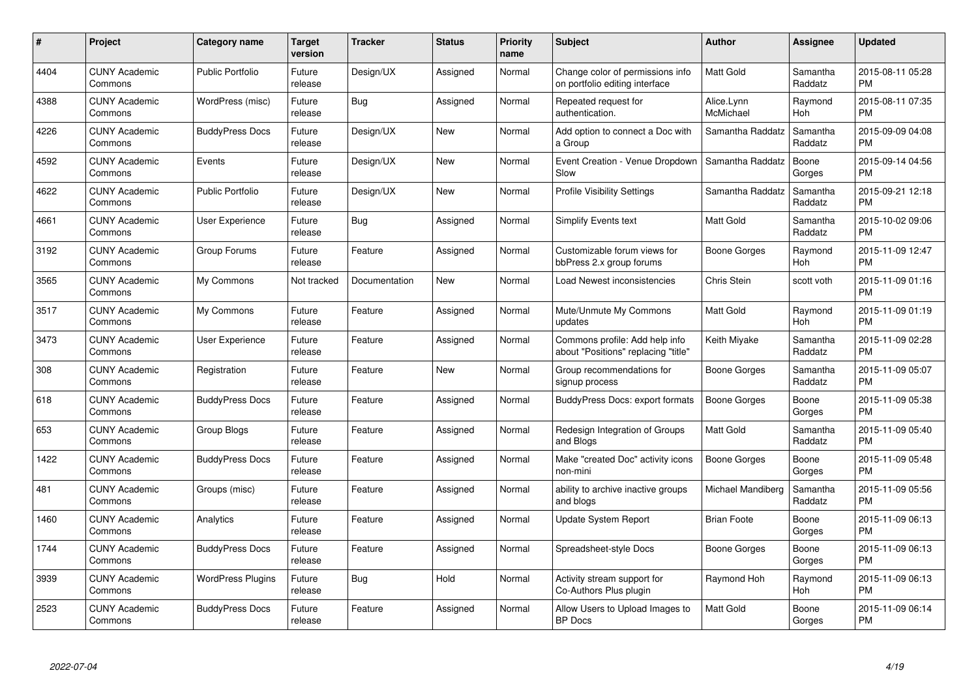| $\#$ | Project                         | <b>Category name</b>     | Target<br>version | <b>Tracker</b> | <b>Status</b> | Priority<br>name | <b>Subject</b>                                                        | <b>Author</b>           | <b>Assignee</b>     | <b>Updated</b>                |
|------|---------------------------------|--------------------------|-------------------|----------------|---------------|------------------|-----------------------------------------------------------------------|-------------------------|---------------------|-------------------------------|
| 4404 | <b>CUNY Academic</b><br>Commons | <b>Public Portfolio</b>  | Future<br>release | Design/UX      | Assigned      | Normal           | Change color of permissions info<br>on portfolio editing interface    | <b>Matt Gold</b>        | Samantha<br>Raddatz | 2015-08-11 05:28<br><b>PM</b> |
| 4388 | <b>CUNY Academic</b><br>Commons | WordPress (misc)         | Future<br>release | Bug            | Assigned      | Normal           | Repeated request for<br>authentication.                               | Alice.Lynn<br>McMichael | Raymond<br>Hoh      | 2015-08-11 07:35<br><b>PM</b> |
| 4226 | <b>CUNY Academic</b><br>Commons | <b>BuddyPress Docs</b>   | Future<br>release | Design/UX      | <b>New</b>    | Normal           | Add option to connect a Doc with<br>a Group                           | Samantha Raddatz        | Samantha<br>Raddatz | 2015-09-09 04:08<br><b>PM</b> |
| 4592 | <b>CUNY Academic</b><br>Commons | Events                   | Future<br>release | Design/UX      | <b>New</b>    | Normal           | Event Creation - Venue Dropdown<br>Slow                               | Samantha Raddatz        | Boone<br>Gorges     | 2015-09-14 04:56<br><b>PM</b> |
| 4622 | <b>CUNY Academic</b><br>Commons | <b>Public Portfolio</b>  | Future<br>release | Design/UX      | <b>New</b>    | Normal           | <b>Profile Visibility Settings</b>                                    | Samantha Raddatz        | Samantha<br>Raddatz | 2015-09-21 12:18<br><b>PM</b> |
| 4661 | <b>CUNY Academic</b><br>Commons | <b>User Experience</b>   | Future<br>release | Bug            | Assigned      | Normal           | <b>Simplify Events text</b>                                           | <b>Matt Gold</b>        | Samantha<br>Raddatz | 2015-10-02 09:06<br><b>PM</b> |
| 3192 | <b>CUNY Academic</b><br>Commons | Group Forums             | Future<br>release | Feature        | Assigned      | Normal           | Customizable forum views for<br>bbPress 2.x group forums              | Boone Gorges            | Raymond<br>Hoh      | 2015-11-09 12:47<br><b>PM</b> |
| 3565 | <b>CUNY Academic</b><br>Commons | My Commons               | Not tracked       | Documentation  | <b>New</b>    | Normal           | Load Newest inconsistencies                                           | Chris Stein             | scott voth          | 2015-11-09 01:16<br><b>PM</b> |
| 3517 | <b>CUNY Academic</b><br>Commons | My Commons               | Future<br>release | Feature        | Assigned      | Normal           | Mute/Unmute My Commons<br>updates                                     | <b>Matt Gold</b>        | Raymond<br>Hoh      | 2015-11-09 01:19<br><b>PM</b> |
| 3473 | <b>CUNY Academic</b><br>Commons | User Experience          | Future<br>release | Feature        | Assigned      | Normal           | Commons profile: Add help info<br>about "Positions" replacing "title" | Keith Miyake            | Samantha<br>Raddatz | 2015-11-09 02:28<br><b>PM</b> |
| 308  | <b>CUNY Academic</b><br>Commons | Registration             | Future<br>release | Feature        | New           | Normal           | Group recommendations for<br>signup process                           | Boone Gorges            | Samantha<br>Raddatz | 2015-11-09 05:07<br><b>PM</b> |
| 618  | <b>CUNY Academic</b><br>Commons | <b>BuddyPress Docs</b>   | Future<br>release | Feature        | Assigned      | Normal           | <b>BuddyPress Docs: export formats</b>                                | Boone Gorges            | Boone<br>Gorges     | 2015-11-09 05:38<br><b>PM</b> |
| 653  | <b>CUNY Academic</b><br>Commons | Group Blogs              | Future<br>release | Feature        | Assigned      | Normal           | Redesign Integration of Groups<br>and Blogs                           | Matt Gold               | Samantha<br>Raddatz | 2015-11-09 05:40<br><b>PM</b> |
| 1422 | <b>CUNY Academic</b><br>Commons | <b>BuddyPress Docs</b>   | Future<br>release | Feature        | Assigned      | Normal           | Make "created Doc" activity icons<br>non-mini                         | <b>Boone Gorges</b>     | Boone<br>Gorges     | 2015-11-09 05:48<br><b>PM</b> |
| 481  | <b>CUNY Academic</b><br>Commons | Groups (misc)            | Future<br>release | Feature        | Assigned      | Normal           | ability to archive inactive groups<br>and blogs                       | Michael Mandiberg       | Samantha<br>Raddatz | 2015-11-09 05:56<br><b>PM</b> |
| 1460 | <b>CUNY Academic</b><br>Commons | Analytics                | Future<br>release | Feature        | Assigned      | Normal           | <b>Update System Report</b>                                           | <b>Brian Foote</b>      | Boone<br>Gorges     | 2015-11-09 06:13<br><b>PM</b> |
| 1744 | <b>CUNY Academic</b><br>Commons | <b>BuddyPress Docs</b>   | Future<br>release | Feature        | Assigned      | Normal           | Spreadsheet-style Docs                                                | Boone Gorges            | Boone<br>Gorges     | 2015-11-09 06:13<br><b>PM</b> |
| 3939 | <b>CUNY Academic</b><br>Commons | <b>WordPress Plugins</b> | Future<br>release | Bug            | Hold          | Normal           | Activity stream support for<br>Co-Authors Plus plugin                 | Raymond Hoh             | Raymond<br>Hoh      | 2015-11-09 06:13<br><b>PM</b> |
| 2523 | CUNY Academic<br>Commons        | <b>BuddyPress Docs</b>   | Future<br>release | Feature        | Assigned      | Normal           | Allow Users to Upload Images to<br><b>BP</b> Docs                     | <b>Matt Gold</b>        | Boone<br>Gorges     | 2015-11-09 06:14<br><b>PM</b> |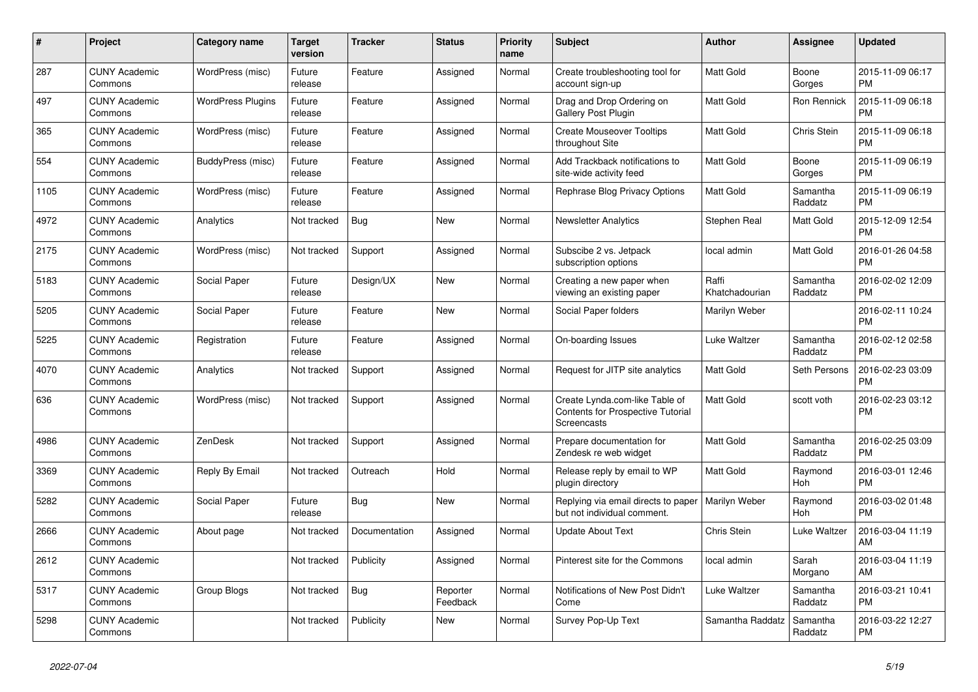| $\#$ | Project                         | <b>Category name</b>     | <b>Target</b><br>version | <b>Tracker</b> | <b>Status</b>        | <b>Priority</b><br>name | <b>Subject</b>                                                                     | <b>Author</b>           | Assignee            | <b>Updated</b>                |
|------|---------------------------------|--------------------------|--------------------------|----------------|----------------------|-------------------------|------------------------------------------------------------------------------------|-------------------------|---------------------|-------------------------------|
| 287  | <b>CUNY Academic</b><br>Commons | WordPress (misc)         | Future<br>release        | Feature        | Assigned             | Normal                  | Create troubleshooting tool for<br>account sign-up                                 | <b>Matt Gold</b>        | Boone<br>Gorges     | 2015-11-09 06:17<br><b>PM</b> |
| 497  | <b>CUNY Academic</b><br>Commons | <b>WordPress Plugins</b> | Future<br>release        | Feature        | Assigned             | Normal                  | Drag and Drop Ordering on<br>Gallery Post Plugin                                   | <b>Matt Gold</b>        | Ron Rennick         | 2015-11-09 06:18<br><b>PM</b> |
| 365  | <b>CUNY Academic</b><br>Commons | WordPress (misc)         | Future<br>release        | Feature        | Assigned             | Normal                  | <b>Create Mouseover Tooltips</b><br>throughout Site                                | Matt Gold               | Chris Stein         | 2015-11-09 06:18<br><b>PM</b> |
| 554  | <b>CUNY Academic</b><br>Commons | BuddyPress (misc)        | Future<br>release        | Feature        | Assigned             | Normal                  | Add Trackback notifications to<br>site-wide activity feed                          | <b>Matt Gold</b>        | Boone<br>Gorges     | 2015-11-09 06:19<br><b>PM</b> |
| 1105 | <b>CUNY Academic</b><br>Commons | WordPress (misc)         | Future<br>release        | Feature        | Assigned             | Normal                  | Rephrase Blog Privacy Options                                                      | Matt Gold               | Samantha<br>Raddatz | 2015-11-09 06:19<br><b>PM</b> |
| 4972 | <b>CUNY Academic</b><br>Commons | Analytics                | Not tracked              | Bug            | New                  | Normal                  | <b>Newsletter Analytics</b>                                                        | Stephen Real            | Matt Gold           | 2015-12-09 12:54<br><b>PM</b> |
| 2175 | <b>CUNY Academic</b><br>Commons | WordPress (misc)         | Not tracked              | Support        | Assigned             | Normal                  | Subscibe 2 vs. Jetpack<br>subscription options                                     | local admin             | Matt Gold           | 2016-01-26 04:58<br><b>PM</b> |
| 5183 | <b>CUNY Academic</b><br>Commons | Social Paper             | Future<br>release        | Design/UX      | <b>New</b>           | Normal                  | Creating a new paper when<br>viewing an existing paper                             | Raffi<br>Khatchadourian | Samantha<br>Raddatz | 2016-02-02 12:09<br><b>PM</b> |
| 5205 | <b>CUNY Academic</b><br>Commons | Social Paper             | Future<br>release        | Feature        | New                  | Normal                  | Social Paper folders                                                               | Marilyn Weber           |                     | 2016-02-11 10:24<br><b>PM</b> |
| 5225 | <b>CUNY Academic</b><br>Commons | Registration             | Future<br>release        | Feature        | Assigned             | Normal                  | On-boarding Issues                                                                 | Luke Waltzer            | Samantha<br>Raddatz | 2016-02-12 02:58<br><b>PM</b> |
| 4070 | <b>CUNY Academic</b><br>Commons | Analytics                | Not tracked              | Support        | Assigned             | Normal                  | Request for JITP site analytics                                                    | Matt Gold               | Seth Persons        | 2016-02-23 03:09<br><b>PM</b> |
| 636  | <b>CUNY Academic</b><br>Commons | WordPress (misc)         | Not tracked              | Support        | Assigned             | Normal                  | Create Lynda.com-like Table of<br>Contents for Prospective Tutorial<br>Screencasts | Matt Gold               | scott voth          | 2016-02-23 03:12<br><b>PM</b> |
| 4986 | <b>CUNY Academic</b><br>Commons | <b>ZenDesk</b>           | Not tracked              | Support        | Assigned             | Normal                  | Prepare documentation for<br>Zendesk re web widget                                 | <b>Matt Gold</b>        | Samantha<br>Raddatz | 2016-02-25 03:09<br><b>PM</b> |
| 3369 | <b>CUNY Academic</b><br>Commons | Reply By Email           | Not tracked              | Outreach       | Hold                 | Normal                  | Release reply by email to WP<br>plugin directory                                   | Matt Gold               | Raymond<br>Hoh      | 2016-03-01 12:46<br><b>PM</b> |
| 5282 | <b>CUNY Academic</b><br>Commons | Social Paper             | Future<br>release        | Bug            | <b>New</b>           | Normal                  | Replying via email directs to paper<br>but not individual comment.                 | Marilyn Weber           | Raymond<br>Hoh      | 2016-03-02 01:48<br><b>PM</b> |
| 2666 | <b>CUNY Academic</b><br>Commons | About page               | Not tracked              | Documentation  | Assigned             | Normal                  | <b>Update About Text</b>                                                           | Chris Stein             | Luke Waltzer        | 2016-03-04 11:19<br>AM        |
| 2612 | <b>CUNY Academic</b><br>Commons |                          | Not tracked              | Publicity      | Assigned             | Normal                  | Pinterest site for the Commons                                                     | local admin             | Sarah<br>Morgano    | 2016-03-04 11:19<br>AM        |
| 5317 | <b>CUNY Academic</b><br>Commons | Group Blogs              | Not tracked              | <b>Bug</b>     | Reporter<br>Feedback | Normal                  | Notifications of New Post Didn't<br>Come                                           | Luke Waltzer            | Samantha<br>Raddatz | 2016-03-21 10:41<br><b>PM</b> |
| 5298 | <b>CUNY Academic</b><br>Commons |                          | Not tracked              | Publicity      | New                  | Normal                  | Survey Pop-Up Text                                                                 | Samantha Raddatz        | Samantha<br>Raddatz | 2016-03-22 12:27<br><b>PM</b> |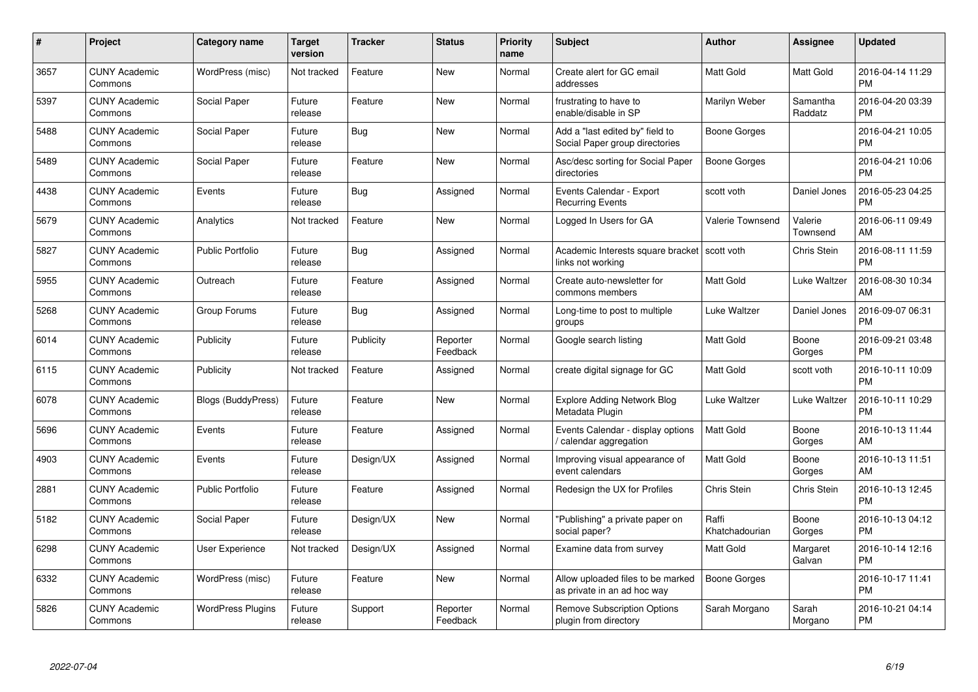| $\#$ | Project                         | <b>Category name</b>      | <b>Target</b><br>version | <b>Tracker</b> | <b>Status</b>        | <b>Priority</b><br>name | <b>Subject</b>                                                    | <b>Author</b>           | Assignee            | <b>Updated</b>                |
|------|---------------------------------|---------------------------|--------------------------|----------------|----------------------|-------------------------|-------------------------------------------------------------------|-------------------------|---------------------|-------------------------------|
| 3657 | <b>CUNY Academic</b><br>Commons | WordPress (misc)          | Not tracked              | Feature        | <b>New</b>           | Normal                  | Create alert for GC email<br>addresses                            | <b>Matt Gold</b>        | Matt Gold           | 2016-04-14 11:29<br><b>PM</b> |
| 5397 | <b>CUNY Academic</b><br>Commons | Social Paper              | Future<br>release        | Feature        | New                  | Normal                  | frustrating to have to<br>enable/disable in SP                    | Marilyn Weber           | Samantha<br>Raddatz | 2016-04-20 03:39<br><b>PM</b> |
| 5488 | <b>CUNY Academic</b><br>Commons | Social Paper              | Future<br>release        | Bug            | New                  | Normal                  | Add a "last edited by" field to<br>Social Paper group directories | Boone Gorges            |                     | 2016-04-21 10:05<br><b>PM</b> |
| 5489 | <b>CUNY Academic</b><br>Commons | Social Paper              | Future<br>release        | Feature        | New                  | Normal                  | Asc/desc sorting for Social Paper<br>directories                  | Boone Gorges            |                     | 2016-04-21 10:06<br><b>PM</b> |
| 4438 | <b>CUNY Academic</b><br>Commons | Events                    | Future<br>release        | Bug            | Assigned             | Normal                  | Events Calendar - Export<br><b>Recurring Events</b>               | scott voth              | Daniel Jones        | 2016-05-23 04:25<br><b>PM</b> |
| 5679 | <b>CUNY Academic</b><br>Commons | Analytics                 | Not tracked              | Feature        | <b>New</b>           | Normal                  | Logged In Users for GA                                            | Valerie Townsend        | Valerie<br>Townsend | 2016-06-11 09:49<br>AM        |
| 5827 | <b>CUNY Academic</b><br>Commons | <b>Public Portfolio</b>   | Future<br>release        | Bug            | Assigned             | Normal                  | Academic Interests square bracket<br>links not working            | scott voth              | Chris Stein         | 2016-08-11 11:59<br><b>PM</b> |
| 5955 | <b>CUNY Academic</b><br>Commons | Outreach                  | Future<br>release        | Feature        | Assigned             | Normal                  | Create auto-newsletter for<br>commons members                     | Matt Gold               | Luke Waltzer        | 2016-08-30 10:34<br>AM        |
| 5268 | <b>CUNY Academic</b><br>Commons | Group Forums              | Future<br>release        | Bug            | Assigned             | Normal                  | Long-time to post to multiple<br>groups                           | Luke Waltzer            | Daniel Jones        | 2016-09-07 06:31<br><b>PM</b> |
| 6014 | <b>CUNY Academic</b><br>Commons | Publicity                 | Future<br>release        | Publicity      | Reporter<br>Feedback | Normal                  | Google search listing                                             | <b>Matt Gold</b>        | Boone<br>Gorges     | 2016-09-21 03:48<br><b>PM</b> |
| 6115 | <b>CUNY Academic</b><br>Commons | Publicity                 | Not tracked              | Feature        | Assigned             | Normal                  | create digital signage for GC                                     | Matt Gold               | scott voth          | 2016-10-11 10:09<br><b>PM</b> |
| 6078 | <b>CUNY Academic</b><br>Commons | <b>Blogs (BuddyPress)</b> | Future<br>release        | Feature        | <b>New</b>           | Normal                  | <b>Explore Adding Network Blog</b><br>Metadata Plugin             | Luke Waltzer            | Luke Waltzer        | 2016-10-11 10:29<br><b>PM</b> |
| 5696 | <b>CUNY Academic</b><br>Commons | Events                    | Future<br>release        | Feature        | Assigned             | Normal                  | Events Calendar - display options<br>calendar aggregation         | <b>Matt Gold</b>        | Boone<br>Gorges     | 2016-10-13 11:44<br>AM        |
| 4903 | <b>CUNY Academic</b><br>Commons | Events                    | Future<br>release        | Design/UX      | Assigned             | Normal                  | Improving visual appearance of<br>event calendars                 | <b>Matt Gold</b>        | Boone<br>Gorges     | 2016-10-13 11:51<br>AM        |
| 2881 | <b>CUNY Academic</b><br>Commons | <b>Public Portfolio</b>   | Future<br>release        | Feature        | Assigned             | Normal                  | Redesign the UX for Profiles                                      | Chris Stein             | Chris Stein         | 2016-10-13 12:45<br><b>PM</b> |
| 5182 | <b>CUNY Academic</b><br>Commons | Social Paper              | Future<br>release        | Design/UX      | New                  | Normal                  | "Publishing" a private paper on<br>social paper?                  | Raffi<br>Khatchadourian | Boone<br>Gorges     | 2016-10-13 04:12<br><b>PM</b> |
| 6298 | <b>CUNY Academic</b><br>Commons | User Experience           | Not tracked              | Design/UX      | Assigned             | Normal                  | Examine data from survey                                          | Matt Gold               | Margaret<br>Galvan  | 2016-10-14 12:16<br><b>PM</b> |
| 6332 | <b>CUNY Academic</b><br>Commons | WordPress (misc)          | Future<br>release        | Feature        | New                  | Normal                  | Allow uploaded files to be marked<br>as private in an ad hoc way  | <b>Boone Gorges</b>     |                     | 2016-10-17 11:41<br><b>PM</b> |
| 5826 | <b>CUNY Academic</b><br>Commons | <b>WordPress Plugins</b>  | Future<br>release        | Support        | Reporter<br>Feedback | Normal                  | <b>Remove Subscription Options</b><br>plugin from directory       | Sarah Morgano           | Sarah<br>Morgano    | 2016-10-21 04:14<br><b>PM</b> |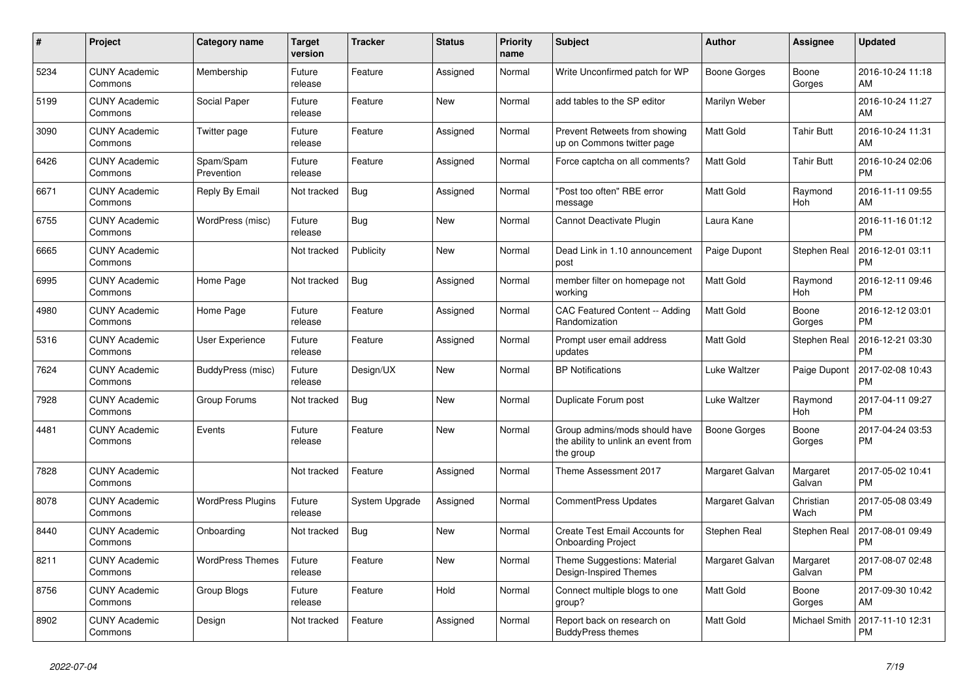| #    | Project                         | <b>Category name</b>     | <b>Target</b><br>version | <b>Tracker</b> | <b>Status</b> | <b>Priority</b><br>name | <b>Subject</b>                                                                    | <b>Author</b>       | Assignee            | <b>Updated</b>                |
|------|---------------------------------|--------------------------|--------------------------|----------------|---------------|-------------------------|-----------------------------------------------------------------------------------|---------------------|---------------------|-------------------------------|
| 5234 | <b>CUNY Academic</b><br>Commons | Membership               | Future<br>release        | Feature        | Assigned      | Normal                  | Write Unconfirmed patch for WP                                                    | Boone Gorges        | Boone<br>Gorges     | 2016-10-24 11:18<br>AM        |
| 5199 | <b>CUNY Academic</b><br>Commons | Social Paper             | Future<br>release        | Feature        | New           | Normal                  | add tables to the SP editor                                                       | Marilyn Weber       |                     | 2016-10-24 11:27<br>AM        |
| 3090 | <b>CUNY Academic</b><br>Commons | Twitter page             | Future<br>release        | Feature        | Assigned      | Normal                  | Prevent Retweets from showing<br>up on Commons twitter page                       | Matt Gold           | <b>Tahir Butt</b>   | 2016-10-24 11:31<br>AM        |
| 6426 | <b>CUNY Academic</b><br>Commons | Spam/Spam<br>Prevention  | Future<br>release        | Feature        | Assigned      | Normal                  | Force captcha on all comments?                                                    | <b>Matt Gold</b>    | <b>Tahir Butt</b>   | 2016-10-24 02:06<br><b>PM</b> |
| 6671 | <b>CUNY Academic</b><br>Commons | Reply By Email           | Not tracked              | Bug            | Assigned      | Normal                  | "Post too often" RBE error<br>message                                             | Matt Gold           | Raymond<br>Hoh      | 2016-11-11 09:55<br>AM        |
| 6755 | <b>CUNY Academic</b><br>Commons | WordPress (misc)         | Future<br>release        | Bug            | New           | Normal                  | Cannot Deactivate Plugin                                                          | Laura Kane          |                     | 2016-11-16 01:12<br><b>PM</b> |
| 6665 | <b>CUNY Academic</b><br>Commons |                          | Not tracked              | Publicity      | <b>New</b>    | Normal                  | Dead Link in 1.10 announcement<br>post                                            | Paige Dupont        | <b>Stephen Real</b> | 2016-12-01 03:11<br><b>PM</b> |
| 6995 | <b>CUNY Academic</b><br>Commons | Home Page                | Not tracked              | Bug            | Assigned      | Normal                  | member filter on homepage not<br>working                                          | <b>Matt Gold</b>    | Raymond<br>Hoh      | 2016-12-11 09:46<br><b>PM</b> |
| 4980 | <b>CUNY Academic</b><br>Commons | Home Page                | Future<br>release        | Feature        | Assigned      | Normal                  | CAC Featured Content -- Adding<br>Randomization                                   | Matt Gold           | Boone<br>Gorges     | 2016-12-12 03:01<br><b>PM</b> |
| 5316 | <b>CUNY Academic</b><br>Commons | User Experience          | Future<br>release        | Feature        | Assigned      | Normal                  | Prompt user email address<br>updates                                              | Matt Gold           | Stephen Real        | 2016-12-21 03:30<br><b>PM</b> |
| 7624 | <b>CUNY Academic</b><br>Commons | BuddyPress (misc)        | Future<br>release        | Design/UX      | <b>New</b>    | Normal                  | <b>BP Notifications</b>                                                           | Luke Waltzer        | Paige Dupont        | 2017-02-08 10:43<br><b>PM</b> |
| 7928 | <b>CUNY Academic</b><br>Commons | Group Forums             | Not tracked              | <b>Bug</b>     | <b>New</b>    | Normal                  | Duplicate Forum post                                                              | Luke Waltzer        | Raymond<br>Hoh      | 2017-04-11 09:27<br><b>PM</b> |
| 4481 | <b>CUNY Academic</b><br>Commons | Events                   | Future<br>release        | Feature        | New           | Normal                  | Group admins/mods should have<br>the ability to unlink an event from<br>the group | <b>Boone Gorges</b> | Boone<br>Gorges     | 2017-04-24 03:53<br><b>PM</b> |
| 7828 | <b>CUNY Academic</b><br>Commons |                          | Not tracked              | Feature        | Assigned      | Normal                  | Theme Assessment 2017                                                             | Margaret Galvan     | Margaret<br>Galvan  | 2017-05-02 10:41<br><b>PM</b> |
| 8078 | <b>CUNY Academic</b><br>Commons | <b>WordPress Plugins</b> | Future<br>release        | System Upgrade | Assigned      | Normal                  | <b>CommentPress Updates</b>                                                       | Margaret Galvan     | Christian<br>Wach   | 2017-05-08 03:49<br><b>PM</b> |
| 8440 | <b>CUNY Academic</b><br>Commons | Onboarding               | Not tracked              | Bug            | New           | Normal                  | Create Test Email Accounts for<br><b>Onboarding Project</b>                       | Stephen Real        | Stephen Real        | 2017-08-01 09:49<br><b>PM</b> |
| 8211 | <b>CUNY Academic</b><br>Commons | <b>WordPress Themes</b>  | Future<br>release        | Feature        | <b>New</b>    | Normal                  | Theme Suggestions: Material<br><b>Design-Inspired Themes</b>                      | Margaret Galvan     | Margaret<br>Galvan  | 2017-08-07 02:48<br><b>PM</b> |
| 8756 | <b>CUNY Academic</b><br>Commons | Group Blogs              | Future<br>release        | Feature        | Hold          | Normal                  | Connect multiple blogs to one<br>group?                                           | Matt Gold           | Boone<br>Gorges     | 2017-09-30 10:42<br>AM        |
| 8902 | <b>CUNY Academic</b><br>Commons | Design                   | Not tracked              | Feature        | Assigned      | Normal                  | Report back on research on<br><b>BuddyPress themes</b>                            | Matt Gold           | Michael Smith       | 2017-11-10 12:31<br><b>PM</b> |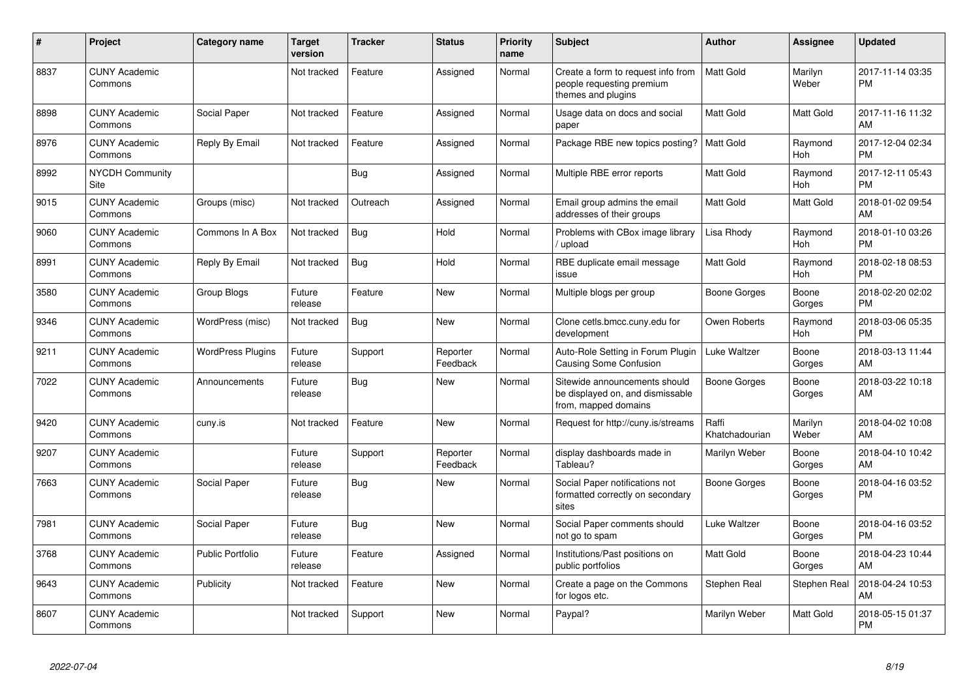| #    | Project                         | <b>Category name</b>     | <b>Target</b><br>version | <b>Tracker</b> | <b>Status</b>        | <b>Priority</b><br>name | <b>Subject</b>                                                                            | <b>Author</b>           | Assignee              | <b>Updated</b>                |
|------|---------------------------------|--------------------------|--------------------------|----------------|----------------------|-------------------------|-------------------------------------------------------------------------------------------|-------------------------|-----------------------|-------------------------------|
| 8837 | <b>CUNY Academic</b><br>Commons |                          | Not tracked              | Feature        | Assigned             | Normal                  | Create a form to request info from<br>people requesting premium<br>themes and plugins     | <b>Matt Gold</b>        | Marilyn<br>Weber      | 2017-11-14 03:35<br><b>PM</b> |
| 8898 | <b>CUNY Academic</b><br>Commons | Social Paper             | Not tracked              | Feature        | Assigned             | Normal                  | Usage data on docs and social<br>paper                                                    | Matt Gold               | <b>Matt Gold</b>      | 2017-11-16 11:32<br>AM        |
| 8976 | <b>CUNY Academic</b><br>Commons | Reply By Email           | Not tracked              | Feature        | Assigned             | Normal                  | Package RBE new topics posting?                                                           | <b>Matt Gold</b>        | Raymond<br><b>Hoh</b> | 2017-12-04 02:34<br>PM        |
| 8992 | <b>NYCDH Community</b><br>Site  |                          |                          | Bug            | Assigned             | Normal                  | Multiple RBE error reports                                                                | Matt Gold               | Raymond<br>Hoh        | 2017-12-11 05:43<br>PM        |
| 9015 | <b>CUNY Academic</b><br>Commons | Groups (misc)            | Not tracked              | Outreach       | Assigned             | Normal                  | Email group admins the email<br>addresses of their groups                                 | Matt Gold               | Matt Gold             | 2018-01-02 09:54<br>AM        |
| 9060 | <b>CUNY Academic</b><br>Commons | Commons In A Box         | Not tracked              | <b>Bug</b>     | Hold                 | Normal                  | Problems with CBox image library<br>/ upload                                              | Lisa Rhody              | Raymond<br><b>Hoh</b> | 2018-01-10 03:26<br><b>PM</b> |
| 8991 | <b>CUNY Academic</b><br>Commons | Reply By Email           | Not tracked              | Bug            | Hold                 | Normal                  | RBE duplicate email message<br>issue                                                      | Matt Gold               | Raymond<br><b>Hoh</b> | 2018-02-18 08:53<br><b>PM</b> |
| 3580 | <b>CUNY Academic</b><br>Commons | Group Blogs              | Future<br>release        | Feature        | <b>New</b>           | Normal                  | Multiple blogs per group                                                                  | Boone Gorges            | Boone<br>Gorges       | 2018-02-20 02:02<br><b>PM</b> |
| 9346 | <b>CUNY Academic</b><br>Commons | WordPress (misc)         | Not tracked              | Bug            | New                  | Normal                  | Clone cetls.bmcc.cuny.edu for<br>development                                              | Owen Roberts            | Raymond<br><b>Hoh</b> | 2018-03-06 05:35<br><b>PM</b> |
| 9211 | <b>CUNY Academic</b><br>Commons | <b>WordPress Plugins</b> | Future<br>release        | Support        | Reporter<br>Feedback | Normal                  | Auto-Role Setting in Forum Plugin<br>Causing Some Confusion                               | Luke Waltzer            | Boone<br>Gorges       | 2018-03-13 11:44<br>AM        |
| 7022 | <b>CUNY Academic</b><br>Commons | Announcements            | Future<br>release        | Bug            | <b>New</b>           | Normal                  | Sitewide announcements should<br>be displayed on, and dismissable<br>from, mapped domains | Boone Gorges            | Boone<br>Gorges       | 2018-03-22 10:18<br>AM        |
| 9420 | <b>CUNY Academic</b><br>Commons | cuny.is                  | Not tracked              | Feature        | New                  | Normal                  | Request for http://cuny.is/streams                                                        | Raffi<br>Khatchadourian | Marilyn<br>Weber      | 2018-04-02 10:08<br>AM        |
| 9207 | <b>CUNY Academic</b><br>Commons |                          | Future<br>release        | Support        | Reporter<br>Feedback | Normal                  | display dashboards made in<br>Tableau?                                                    | Marilyn Weber           | Boone<br>Gorges       | 2018-04-10 10:42<br>AM        |
| 7663 | <b>CUNY Academic</b><br>Commons | Social Paper             | Future<br>release        | <b>Bug</b>     | <b>New</b>           | Normal                  | Social Paper notifications not<br>formatted correctly on secondary<br>sites               | Boone Gorges            | Boone<br>Gorges       | 2018-04-16 03:52<br><b>PM</b> |
| 7981 | <b>CUNY Academic</b><br>Commons | Social Paper             | Future<br>release        | Bug            | <b>New</b>           | Normal                  | Social Paper comments should<br>not go to spam                                            | Luke Waltzer            | Boone<br>Gorges       | 2018-04-16 03:52<br><b>PM</b> |
| 3768 | <b>CUNY Academic</b><br>Commons | <b>Public Portfolio</b>  | Future<br>release        | Feature        | Assigned             | Normal                  | Institutions/Past positions on<br>public portfolios                                       | Matt Gold               | Boone<br>Gorges       | 2018-04-23 10:44<br>AM        |
| 9643 | <b>CUNY Academic</b><br>Commons | Publicity                | Not tracked              | Feature        | <b>New</b>           | Normal                  | Create a page on the Commons<br>for logos etc.                                            | Stephen Real            | <b>Stephen Real</b>   | 2018-04-24 10:53<br>AM        |
| 8607 | <b>CUNY Academic</b><br>Commons |                          | Not tracked              | Support        | <b>New</b>           | Normal                  | Paypal?                                                                                   | Marilyn Weber           | Matt Gold             | 2018-05-15 01:37<br><b>PM</b> |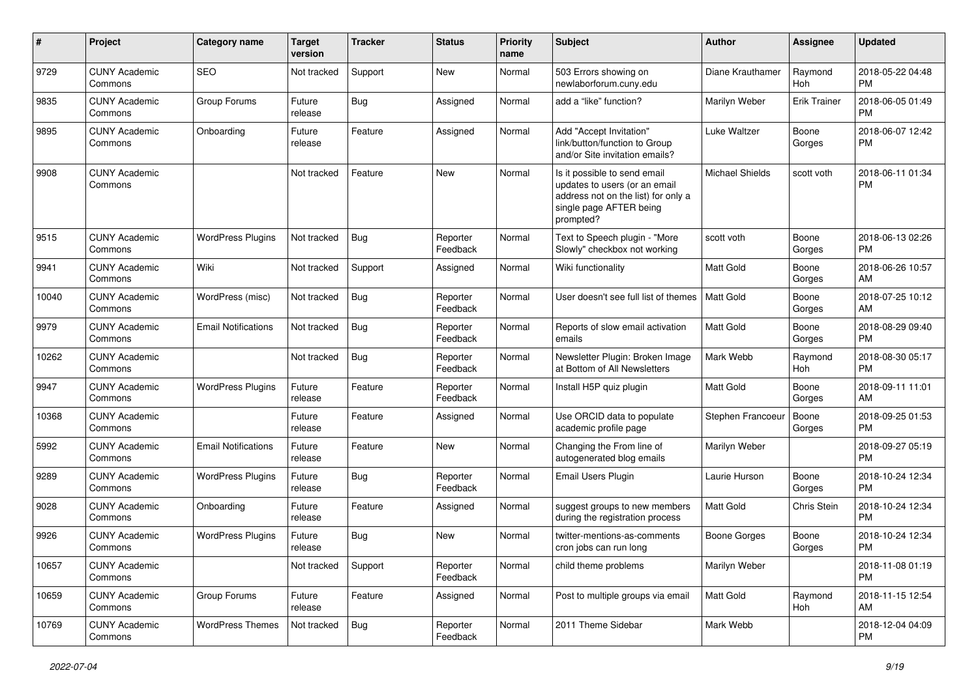| #     | Project                         | Category name              | <b>Target</b><br>version | Tracker    | <b>Status</b>        | <b>Priority</b><br>name | <b>Subject</b>                                                                                                                               | Author                 | Assignee            | <b>Updated</b>                |
|-------|---------------------------------|----------------------------|--------------------------|------------|----------------------|-------------------------|----------------------------------------------------------------------------------------------------------------------------------------------|------------------------|---------------------|-------------------------------|
| 9729  | <b>CUNY Academic</b><br>Commons | <b>SEO</b>                 | Not tracked              | Support    | <b>New</b>           | Normal                  | 503 Errors showing on<br>newlaborforum.cuny.edu                                                                                              | Diane Krauthamer       | Raymond<br>Hoh      | 2018-05-22 04:48<br><b>PM</b> |
| 9835  | <b>CUNY Academic</b><br>Commons | Group Forums               | Future<br>release        | Bug        | Assigned             | Normal                  | add a "like" function?                                                                                                                       | Marilyn Weber          | <b>Erik Trainer</b> | 2018-06-05 01:49<br><b>PM</b> |
| 9895  | <b>CUNY Academic</b><br>Commons | Onboarding                 | Future<br>release        | Feature    | Assigned             | Normal                  | Add "Accept Invitation"<br>link/button/function to Group<br>and/or Site invitation emails?                                                   | Luke Waltzer           | Boone<br>Gorges     | 2018-06-07 12:42<br><b>PM</b> |
| 9908  | <b>CUNY Academic</b><br>Commons |                            | Not tracked              | Feature    | <b>New</b>           | Normal                  | Is it possible to send email<br>updates to users (or an email<br>address not on the list) for only a<br>single page AFTER being<br>prompted? | <b>Michael Shields</b> | scott voth          | 2018-06-11 01:34<br><b>PM</b> |
| 9515  | <b>CUNY Academic</b><br>Commons | <b>WordPress Plugins</b>   | Not tracked              | Bug        | Reporter<br>Feedback | Normal                  | Text to Speech plugin - "More<br>Slowly" checkbox not working                                                                                | scott voth             | Boone<br>Gorges     | 2018-06-13 02:26<br><b>PM</b> |
| 9941  | <b>CUNY Academic</b><br>Commons | Wiki                       | Not tracked              | Support    | Assigned             | Normal                  | Wiki functionality                                                                                                                           | <b>Matt Gold</b>       | Boone<br>Gorges     | 2018-06-26 10:57<br>AM        |
| 10040 | <b>CUNY Academic</b><br>Commons | WordPress (misc)           | Not tracked              | Bug        | Reporter<br>Feedback | Normal                  | User doesn't see full list of themes                                                                                                         | Matt Gold              | Boone<br>Gorges     | 2018-07-25 10:12<br>AM        |
| 9979  | <b>CUNY Academic</b><br>Commons | <b>Email Notifications</b> | Not tracked              | Bug        | Reporter<br>Feedback | Normal                  | Reports of slow email activation<br>emails                                                                                                   | Matt Gold              | Boone<br>Gorges     | 2018-08-29 09:40<br><b>PM</b> |
| 10262 | <b>CUNY Academic</b><br>Commons |                            | Not tracked              | Bug        | Reporter<br>Feedback | Normal                  | Newsletter Plugin: Broken Image<br>at Bottom of All Newsletters                                                                              | Mark Webb              | Raymond<br>Hoh      | 2018-08-30 05:17<br><b>PM</b> |
| 9947  | <b>CUNY Academic</b><br>Commons | <b>WordPress Plugins</b>   | Future<br>release        | Feature    | Reporter<br>Feedback | Normal                  | Install H5P quiz plugin                                                                                                                      | Matt Gold              | Boone<br>Gorges     | 2018-09-11 11:01<br>AM        |
| 10368 | <b>CUNY Academic</b><br>Commons |                            | Future<br>release        | Feature    | Assigned             | Normal                  | Use ORCID data to populate<br>academic profile page                                                                                          | Stephen Francoeur      | Boone<br>Gorges     | 2018-09-25 01:53<br><b>PM</b> |
| 5992  | <b>CUNY Academic</b><br>Commons | <b>Email Notifications</b> | Future<br>release        | Feature    | <b>New</b>           | Normal                  | Changing the From line of<br>autogenerated blog emails                                                                                       | Marilyn Weber          |                     | 2018-09-27 05:19<br><b>PM</b> |
| 9289  | <b>CUNY Academic</b><br>Commons | <b>WordPress Plugins</b>   | Future<br>release        | <b>Bug</b> | Reporter<br>Feedback | Normal                  | <b>Email Users Plugin</b>                                                                                                                    | Laurie Hurson          | Boone<br>Gorges     | 2018-10-24 12:34<br><b>PM</b> |
| 9028  | <b>CUNY Academic</b><br>Commons | Onboarding                 | Future<br>release        | Feature    | Assigned             | Normal                  | suggest groups to new members<br>during the registration process                                                                             | <b>Matt Gold</b>       | Chris Stein         | 2018-10-24 12:34<br><b>PM</b> |
| 9926  | <b>CUNY Academic</b><br>Commons | <b>WordPress Plugins</b>   | Future<br>release        | Bug        | <b>New</b>           | Normal                  | twitter-mentions-as-comments<br>cron jobs can run long                                                                                       | Boone Gorges           | Boone<br>Gorges     | 2018-10-24 12:34<br><b>PM</b> |
| 10657 | <b>CUNY Academic</b><br>Commons |                            | Not tracked              | Support    | Reporter<br>Feedback | Normal                  | child theme problems                                                                                                                         | Marilyn Weber          |                     | 2018-11-08 01:19<br><b>PM</b> |
| 10659 | <b>CUNY Academic</b><br>Commons | Group Forums               | Future<br>release        | Feature    | Assigned             | Normal                  | Post to multiple groups via email                                                                                                            | Matt Gold              | Raymond<br>Hoh      | 2018-11-15 12:54<br>AM        |
| 10769 | <b>CUNY Academic</b><br>Commons | <b>WordPress Themes</b>    | Not tracked              | <b>Bug</b> | Reporter<br>Feedback | Normal                  | 2011 Theme Sidebar                                                                                                                           | Mark Webb              |                     | 2018-12-04 04:09<br><b>PM</b> |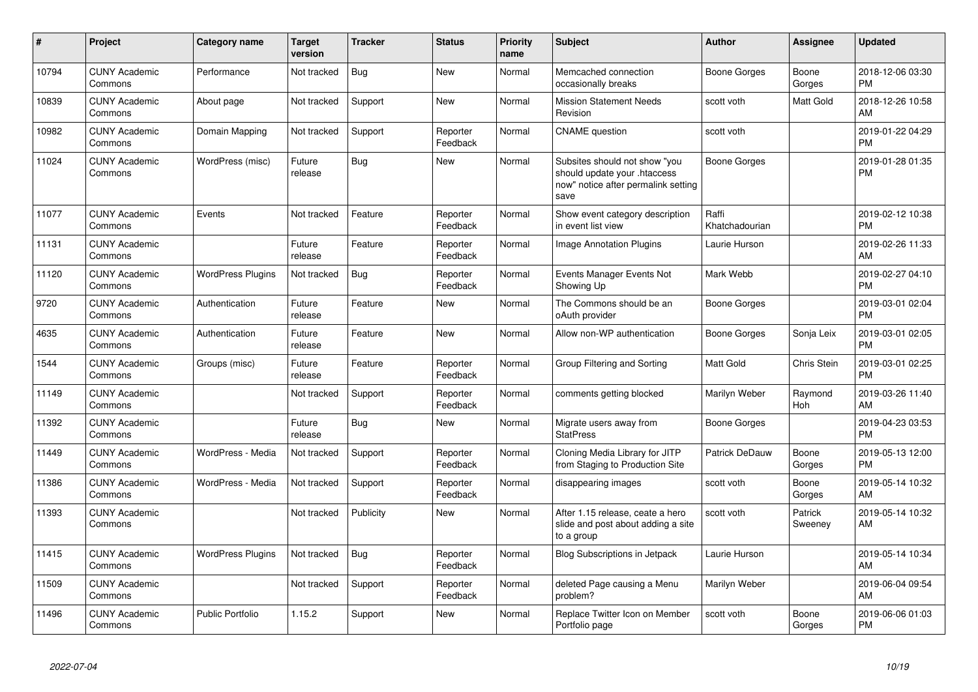| $\pmb{\sharp}$ | Project                         | <b>Category name</b>     | <b>Target</b><br>version | <b>Tracker</b> | <b>Status</b>        | <b>Priority</b><br>name | <b>Subject</b>                                                                                               | Author                  | Assignee           | <b>Updated</b>                |
|----------------|---------------------------------|--------------------------|--------------------------|----------------|----------------------|-------------------------|--------------------------------------------------------------------------------------------------------------|-------------------------|--------------------|-------------------------------|
| 10794          | <b>CUNY Academic</b><br>Commons | Performance              | Not tracked              | Bug            | <b>New</b>           | Normal                  | Memcached connection<br>occasionally breaks                                                                  | Boone Gorges            | Boone<br>Gorges    | 2018-12-06 03:30<br><b>PM</b> |
| 10839          | <b>CUNY Academic</b><br>Commons | About page               | Not tracked              | Support        | <b>New</b>           | Normal                  | <b>Mission Statement Needs</b><br>Revision                                                                   | scott voth              | Matt Gold          | 2018-12-26 10:58<br>AM        |
| 10982          | <b>CUNY Academic</b><br>Commons | Domain Mapping           | Not tracked              | Support        | Reporter<br>Feedback | Normal                  | <b>CNAME</b> question                                                                                        | scott voth              |                    | 2019-01-22 04:29<br><b>PM</b> |
| 11024          | <b>CUNY Academic</b><br>Commons | WordPress (misc)         | Future<br>release        | Bug            | <b>New</b>           | Normal                  | Subsites should not show "you<br>should update your .htaccess<br>now" notice after permalink setting<br>save | <b>Boone Gorges</b>     |                    | 2019-01-28 01:35<br><b>PM</b> |
| 11077          | <b>CUNY Academic</b><br>Commons | Events                   | Not tracked              | Feature        | Reporter<br>Feedback | Normal                  | Show event category description<br>in event list view                                                        | Raffi<br>Khatchadourian |                    | 2019-02-12 10:38<br><b>PM</b> |
| 11131          | <b>CUNY Academic</b><br>Commons |                          | Future<br>release        | Feature        | Reporter<br>Feedback | Normal                  | <b>Image Annotation Plugins</b>                                                                              | Laurie Hurson           |                    | 2019-02-26 11:33<br>AM        |
| 11120          | <b>CUNY Academic</b><br>Commons | <b>WordPress Plugins</b> | Not tracked              | <b>Bug</b>     | Reporter<br>Feedback | Normal                  | Events Manager Events Not<br>Showing Up                                                                      | Mark Webb               |                    | 2019-02-27 04:10<br><b>PM</b> |
| 9720           | <b>CUNY Academic</b><br>Commons | Authentication           | Future<br>release        | Feature        | New                  | Normal                  | The Commons should be an<br>oAuth provider                                                                   | Boone Gorges            |                    | 2019-03-01 02:04<br><b>PM</b> |
| 4635           | <b>CUNY Academic</b><br>Commons | Authentication           | Future<br>release        | Feature        | <b>New</b>           | Normal                  | Allow non-WP authentication                                                                                  | Boone Gorges            | Sonja Leix         | 2019-03-01 02:05<br><b>PM</b> |
| 1544           | <b>CUNY Academic</b><br>Commons | Groups (misc)            | Future<br>release        | Feature        | Reporter<br>Feedback | Normal                  | Group Filtering and Sorting                                                                                  | Matt Gold               | Chris Stein        | 2019-03-01 02:25<br><b>PM</b> |
| 11149          | <b>CUNY Academic</b><br>Commons |                          | Not tracked              | Support        | Reporter<br>Feedback | Normal                  | comments getting blocked                                                                                     | Marilyn Weber           | Raymond<br>Hoh     | 2019-03-26 11:40<br>AM        |
| 11392          | <b>CUNY Academic</b><br>Commons |                          | Future<br>release        | Bug            | <b>New</b>           | Normal                  | Migrate users away from<br><b>StatPress</b>                                                                  | <b>Boone Gorges</b>     |                    | 2019-04-23 03:53<br>PM        |
| 11449          | <b>CUNY Academic</b><br>Commons | WordPress - Media        | Not tracked              | Support        | Reporter<br>Feedback | Normal                  | Cloning Media Library for JITP<br>from Staging to Production Site                                            | Patrick DeDauw          | Boone<br>Gorges    | 2019-05-13 12:00<br><b>PM</b> |
| 11386          | <b>CUNY Academic</b><br>Commons | WordPress - Media        | Not tracked              | Support        | Reporter<br>Feedback | Normal                  | disappearing images                                                                                          | scott voth              | Boone<br>Gorges    | 2019-05-14 10:32<br>AM        |
| 11393          | <b>CUNY Academic</b><br>Commons |                          | Not tracked              | Publicity      | New                  | Normal                  | After 1.15 release, ceate a hero<br>slide and post about adding a site<br>to a group                         | scott voth              | Patrick<br>Sweeney | 2019-05-14 10:32<br>AM.       |
| 11415          | <b>CUNY Academic</b><br>Commons | <b>WordPress Plugins</b> | Not tracked              | <b>Bug</b>     | Reporter<br>Feedback | Normal                  | <b>Blog Subscriptions in Jetpack</b>                                                                         | Laurie Hurson           |                    | 2019-05-14 10:34<br>AM        |
| 11509          | <b>CUNY Academic</b><br>Commons |                          | Not tracked              | Support        | Reporter<br>Feedback | Normal                  | deleted Page causing a Menu<br>problem?                                                                      | Marilyn Weber           |                    | 2019-06-04 09:54<br>AM        |
| 11496          | <b>CUNY Academic</b><br>Commons | <b>Public Portfolio</b>  | 1.15.2                   | Support        | <b>New</b>           | Normal                  | Replace Twitter Icon on Member<br>Portfolio page                                                             | scott voth              | Boone<br>Gorges    | 2019-06-06 01:03<br>PM        |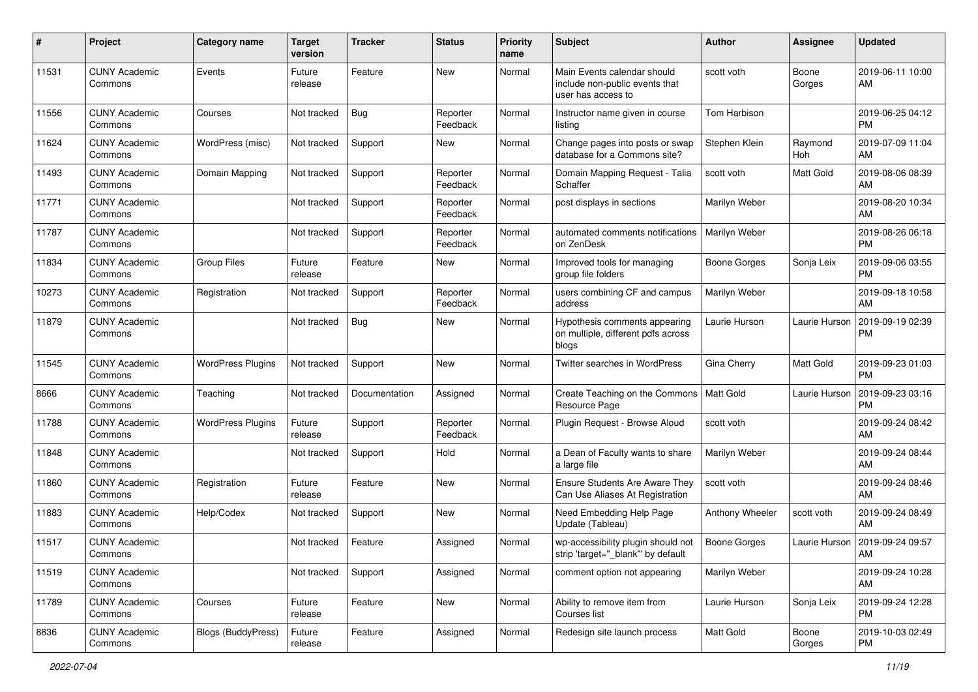| #     | Project                         | <b>Category name</b>      | <b>Target</b><br>version | <b>Tracker</b> | <b>Status</b>        | Priority<br>name | <b>Subject</b>                                                                      | Author              | <b>Assignee</b> | <b>Updated</b>                |
|-------|---------------------------------|---------------------------|--------------------------|----------------|----------------------|------------------|-------------------------------------------------------------------------------------|---------------------|-----------------|-------------------------------|
| 11531 | <b>CUNY Academic</b><br>Commons | Events                    | Future<br>release        | Feature        | <b>New</b>           | Normal           | Main Events calendar should<br>include non-public events that<br>user has access to | scott voth          | Boone<br>Gorges | 2019-06-11 10:00<br>AM        |
| 11556 | <b>CUNY Academic</b><br>Commons | Courses                   | Not tracked              | Bug            | Reporter<br>Feedback | Normal           | Instructor name given in course<br>listing                                          | Tom Harbison        |                 | 2019-06-25 04:12<br><b>PM</b> |
| 11624 | <b>CUNY Academic</b><br>Commons | WordPress (misc)          | Not tracked              | Support        | New                  | Normal           | Change pages into posts or swap<br>database for a Commons site?                     | Stephen Klein       | Raymond<br>Hoh  | 2019-07-09 11:04<br>AM        |
| 11493 | <b>CUNY Academic</b><br>Commons | Domain Mapping            | Not tracked              | Support        | Reporter<br>Feedback | Normal           | Domain Mapping Request - Talia<br>Schaffer                                          | scott voth          | Matt Gold       | 2019-08-06 08:39<br>AM        |
| 11771 | <b>CUNY Academic</b><br>Commons |                           | Not tracked              | Support        | Reporter<br>Feedback | Normal           | post displays in sections                                                           | Marilyn Weber       |                 | 2019-08-20 10:34<br>AM        |
| 11787 | <b>CUNY Academic</b><br>Commons |                           | Not tracked              | Support        | Reporter<br>Feedback | Normal           | automated comments notifications<br>on ZenDesk                                      | Marilyn Weber       |                 | 2019-08-26 06:18<br><b>PM</b> |
| 11834 | <b>CUNY Academic</b><br>Commons | <b>Group Files</b>        | Future<br>release        | Feature        | New                  | Normal           | Improved tools for managing<br>group file folders                                   | <b>Boone Gorges</b> | Sonja Leix      | 2019-09-06 03:55<br><b>PM</b> |
| 10273 | <b>CUNY Academic</b><br>Commons | Registration              | Not tracked              | Support        | Reporter<br>Feedback | Normal           | users combining CF and campus<br>address                                            | Marilyn Weber       |                 | 2019-09-18 10:58<br>AM        |
| 11879 | <b>CUNY Academic</b><br>Commons |                           | Not tracked              | <b>Bug</b>     | New                  | Normal           | Hypothesis comments appearing<br>on multiple, different pdfs across<br>blogs        | Laurie Hurson       | Laurie Hurson   | 2019-09-19 02:39<br><b>PM</b> |
| 11545 | <b>CUNY Academic</b><br>Commons | <b>WordPress Plugins</b>  | Not tracked              | Support        | <b>New</b>           | Normal           | Twitter searches in WordPress                                                       | Gina Cherry         | Matt Gold       | 2019-09-23 01:03<br><b>PM</b> |
| 8666  | <b>CUNY Academic</b><br>Commons | Teaching                  | Not tracked              | Documentation  | Assigned             | Normal           | Create Teaching on the Commons<br>Resource Page                                     | Matt Gold           | Laurie Hurson   | 2019-09-23 03:16<br><b>PM</b> |
| 11788 | <b>CUNY Academic</b><br>Commons | <b>WordPress Plugins</b>  | Future<br>release        | Support        | Reporter<br>Feedback | Normal           | Plugin Request - Browse Aloud                                                       | scott voth          |                 | 2019-09-24 08:42<br>AM        |
| 11848 | <b>CUNY Academic</b><br>Commons |                           | Not tracked              | Support        | Hold                 | Normal           | a Dean of Faculty wants to share<br>a large file                                    | Marilyn Weber       |                 | 2019-09-24 08:44<br>AM        |
| 11860 | <b>CUNY Academic</b><br>Commons | Registration              | Future<br>release        | Feature        | <b>New</b>           | Normal           | <b>Ensure Students Are Aware They</b><br>Can Use Aliases At Registration            | scott voth          |                 | 2019-09-24 08:46<br>AM        |
| 11883 | <b>CUNY Academic</b><br>Commons | Help/Codex                | Not tracked              | Support        | New                  | Normal           | Need Embedding Help Page<br>Update (Tableau)                                        | Anthony Wheeler     | scott voth      | 2019-09-24 08:49<br>AM        |
| 11517 | <b>CUNY Academic</b><br>Commons |                           | Not tracked              | Feature        | Assigned             | Normal           | wp-accessibility plugin should not<br>strip 'target="_blank"' by default            | <b>Boone Gorges</b> | Laurie Hurson   | 2019-09-24 09:57<br>AM        |
| 11519 | <b>CUNY Academic</b><br>Commons |                           | Not tracked              | Support        | Assigned             | Normal           | comment option not appearing                                                        | Marilyn Weber       |                 | 2019-09-24 10:28<br>AM        |
| 11789 | <b>CUNY Academic</b><br>Commons | Courses                   | Future<br>release        | Feature        | New                  | Normal           | Ability to remove item from<br>Courses list                                         | Laurie Hurson       | Sonja Leix      | 2019-09-24 12:28<br><b>PM</b> |
| 8836  | <b>CUNY Academic</b><br>Commons | <b>Blogs (BuddyPress)</b> | Future<br>release        | Feature        | Assigned             | Normal           | Redesign site launch process                                                        | Matt Gold           | Boone<br>Gorges | 2019-10-03 02:49<br><b>PM</b> |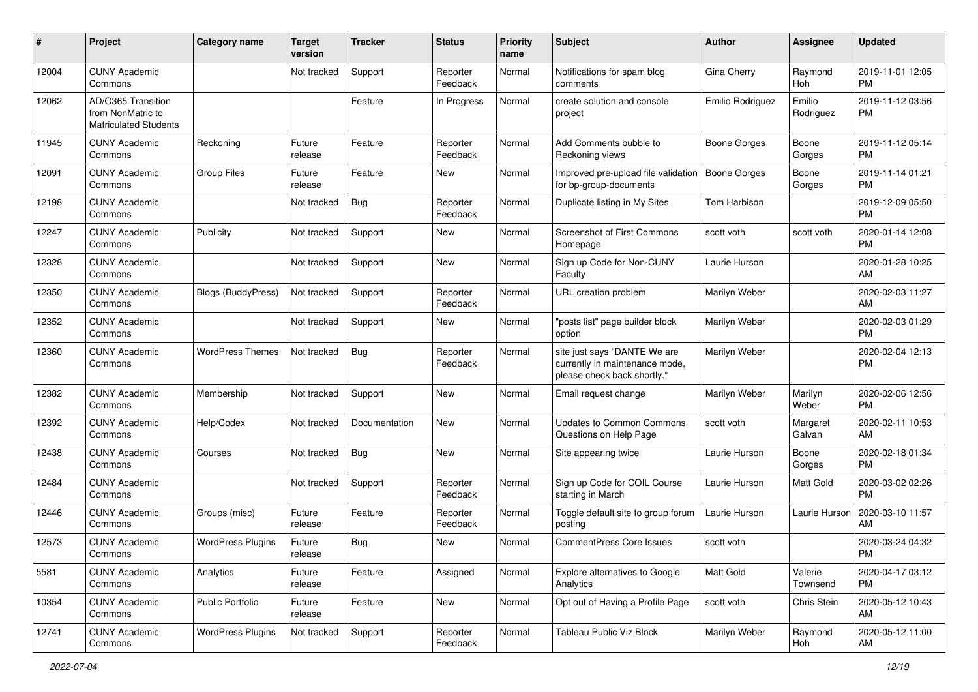| #     | Project                                                                 | <b>Category name</b>      | <b>Target</b><br>version | <b>Tracker</b> | <b>Status</b>        | Priority<br>name | <b>Subject</b>                                                                                | Author              | <b>Assignee</b>     | <b>Updated</b>                |
|-------|-------------------------------------------------------------------------|---------------------------|--------------------------|----------------|----------------------|------------------|-----------------------------------------------------------------------------------------------|---------------------|---------------------|-------------------------------|
| 12004 | <b>CUNY Academic</b><br>Commons                                         |                           | Not tracked              | Support        | Reporter<br>Feedback | Normal           | Notifications for spam blog<br>comments                                                       | Gina Cherry         | Raymond<br>Hoh      | 2019-11-01 12:05<br><b>PM</b> |
| 12062 | AD/O365 Transition<br>from NonMatric to<br><b>Matriculated Students</b> |                           |                          | Feature        | In Progress          | Normal           | create solution and console<br>project                                                        | Emilio Rodriguez    | Emilio<br>Rodriguez | 2019-11-12 03:56<br><b>PM</b> |
| 11945 | <b>CUNY Academic</b><br>Commons                                         | Reckoning                 | Future<br>release        | Feature        | Reporter<br>Feedback | Normal           | Add Comments bubble to<br>Reckoning views                                                     | <b>Boone Gorges</b> | Boone<br>Gorges     | 2019-11-12 05:14<br><b>PM</b> |
| 12091 | <b>CUNY Academic</b><br>Commons                                         | <b>Group Files</b>        | Future<br>release        | Feature        | <b>New</b>           | Normal           | Improved pre-upload file validation<br>for bp-group-documents                                 | <b>Boone Gorges</b> | Boone<br>Gorges     | 2019-11-14 01:21<br><b>PM</b> |
| 12198 | <b>CUNY Academic</b><br>Commons                                         |                           | Not tracked              | Bug            | Reporter<br>Feedback | Normal           | Duplicate listing in My Sites                                                                 | Tom Harbison        |                     | 2019-12-09 05:50<br><b>PM</b> |
| 12247 | <b>CUNY Academic</b><br>Commons                                         | Publicity                 | Not tracked              | Support        | New                  | Normal           | <b>Screenshot of First Commons</b><br>Homepage                                                | scott voth          | scott voth          | 2020-01-14 12:08<br><b>PM</b> |
| 12328 | <b>CUNY Academic</b><br>Commons                                         |                           | Not tracked              | Support        | New                  | Normal           | Sign up Code for Non-CUNY<br>Faculty                                                          | Laurie Hurson       |                     | 2020-01-28 10:25<br>AM        |
| 12350 | <b>CUNY Academic</b><br>Commons                                         | <b>Blogs (BuddyPress)</b> | Not tracked              | Support        | Reporter<br>Feedback | Normal           | URL creation problem                                                                          | Marilyn Weber       |                     | 2020-02-03 11:27<br>AM        |
| 12352 | <b>CUNY Academic</b><br>Commons                                         |                           | Not tracked              | Support        | <b>New</b>           | Normal           | "posts list" page builder block<br>option                                                     | Marilyn Weber       |                     | 2020-02-03 01:29<br><b>PM</b> |
| 12360 | <b>CUNY Academic</b><br>Commons                                         | <b>WordPress Themes</b>   | Not tracked              | Bug            | Reporter<br>Feedback | Normal           | site just says "DANTE We are<br>currently in maintenance mode,<br>please check back shortly." | Marilyn Weber       |                     | 2020-02-04 12:13<br><b>PM</b> |
| 12382 | <b>CUNY Academic</b><br>Commons                                         | Membership                | Not tracked              | Support        | New                  | Normal           | Email request change                                                                          | Marilyn Weber       | Marilyn<br>Weber    | 2020-02-06 12:56<br><b>PM</b> |
| 12392 | <b>CUNY Academic</b><br>Commons                                         | Help/Codex                | Not tracked              | Documentation  | <b>New</b>           | Normal           | <b>Updates to Common Commons</b><br>Questions on Help Page                                    | scott voth          | Margaret<br>Galvan  | 2020-02-11 10:53<br>AM        |
| 12438 | <b>CUNY Academic</b><br>Commons                                         | Courses                   | Not tracked              | Bug            | <b>New</b>           | Normal           | Site appearing twice                                                                          | Laurie Hurson       | Boone<br>Gorges     | 2020-02-18 01:34<br><b>PM</b> |
| 12484 | <b>CUNY Academic</b><br>Commons                                         |                           | Not tracked              | Support        | Reporter<br>Feedback | Normal           | Sign up Code for COIL Course<br>starting in March                                             | Laurie Hurson       | Matt Gold           | 2020-03-02 02:26<br><b>PM</b> |
| 12446 | <b>CUNY Academic</b><br>Commons                                         | Groups (misc)             | Future<br>release        | Feature        | Reporter<br>Feedback | Normal           | Toggle default site to group forum<br>posting                                                 | Laurie Hurson       | Laurie Hurson       | 2020-03-10 11:57<br>AM        |
| 12573 | <b>CUNY Academic</b><br>Commons                                         | <b>WordPress Plugins</b>  | Future<br>release        | Bug            | New                  | Normal           | <b>CommentPress Core Issues</b>                                                               | scott voth          |                     | 2020-03-24 04:32<br>PM        |
| 5581  | <b>CUNY Academic</b><br>Commons                                         | Analytics                 | Future<br>release        | Feature        | Assigned             | Normal           | <b>Explore alternatives to Google</b><br>Analytics                                            | Matt Gold           | Valerie<br>Townsend | 2020-04-17 03:12<br><b>PM</b> |
| 10354 | <b>CUNY Academic</b><br>Commons                                         | Public Portfolio          | Future<br>release        | Feature        | New                  | Normal           | Opt out of Having a Profile Page                                                              | scott voth          | Chris Stein         | 2020-05-12 10:43<br>AM        |
| 12741 | <b>CUNY Academic</b><br>Commons                                         | <b>WordPress Plugins</b>  | Not tracked              | Support        | Reporter<br>Feedback | Normal           | Tableau Public Viz Block                                                                      | Marilyn Weber       | Raymond<br>Hoh      | 2020-05-12 11:00<br>AM        |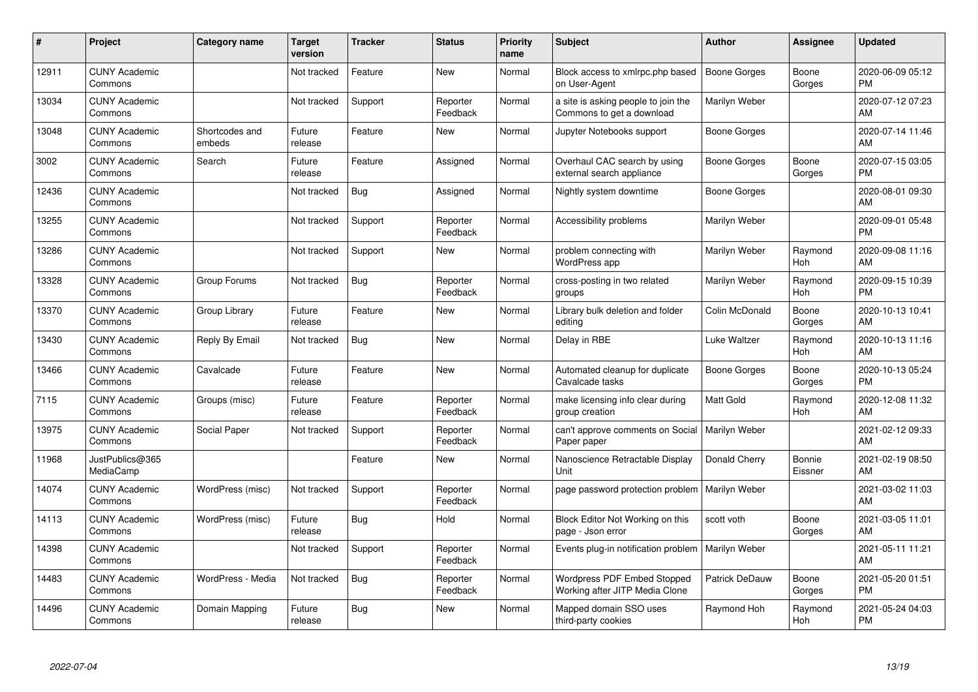| #     | Project                         | <b>Category name</b>     | <b>Target</b><br>version | <b>Tracker</b> | <b>Status</b>        | <b>Priority</b><br>name | <b>Subject</b>                                                   | <b>Author</b>       | <b>Assignee</b>   | <b>Updated</b>                |
|-------|---------------------------------|--------------------------|--------------------------|----------------|----------------------|-------------------------|------------------------------------------------------------------|---------------------|-------------------|-------------------------------|
| 12911 | <b>CUNY Academic</b><br>Commons |                          | Not tracked              | Feature        | <b>New</b>           | Normal                  | Block access to xmlrpc.php based<br>on User-Agent                | <b>Boone Gorges</b> | Boone<br>Gorges   | 2020-06-09 05:12<br><b>PM</b> |
| 13034 | <b>CUNY Academic</b><br>Commons |                          | Not tracked              | Support        | Reporter<br>Feedback | Normal                  | a site is asking people to join the<br>Commons to get a download | Marilyn Weber       |                   | 2020-07-12 07:23<br>AM        |
| 13048 | <b>CUNY Academic</b><br>Commons | Shortcodes and<br>embeds | Future<br>release        | Feature        | <b>New</b>           | Normal                  | Jupyter Notebooks support                                        | Boone Gorges        |                   | 2020-07-14 11:46<br>AM        |
| 3002  | <b>CUNY Academic</b><br>Commons | Search                   | Future<br>release        | Feature        | Assigned             | Normal                  | Overhaul CAC search by using<br>external search appliance        | Boone Gorges        | Boone<br>Gorges   | 2020-07-15 03:05<br><b>PM</b> |
| 12436 | <b>CUNY Academic</b><br>Commons |                          | Not tracked              | Bug            | Assigned             | Normal                  | Nightly system downtime                                          | Boone Gorges        |                   | 2020-08-01 09:30<br>AM        |
| 13255 | <b>CUNY Academic</b><br>Commons |                          | Not tracked              | Support        | Reporter<br>Feedback | Normal                  | Accessibility problems                                           | Marilyn Weber       |                   | 2020-09-01 05:48<br><b>PM</b> |
| 13286 | <b>CUNY Academic</b><br>Commons |                          | Not tracked              | Support        | <b>New</b>           | Normal                  | problem connecting with<br>WordPress app                         | Marilyn Weber       | Raymond<br>Hoh    | 2020-09-08 11:16<br>AM        |
| 13328 | <b>CUNY Academic</b><br>Commons | Group Forums             | Not tracked              | <b>Bug</b>     | Reporter<br>Feedback | Normal                  | cross-posting in two related<br>groups                           | Marilyn Weber       | Raymond<br>Hoh    | 2020-09-15 10:39<br><b>PM</b> |
| 13370 | <b>CUNY Academic</b><br>Commons | Group Library            | Future<br>release        | Feature        | New                  | Normal                  | Library bulk deletion and folder<br>editing                      | Colin McDonald      | Boone<br>Gorges   | 2020-10-13 10:41<br>AM        |
| 13430 | <b>CUNY Academic</b><br>Commons | Reply By Email           | Not tracked              | Bug            | <b>New</b>           | Normal                  | Delay in RBE                                                     | Luke Waltzer        | Raymond<br>Hoh    | 2020-10-13 11:16<br>AM        |
| 13466 | <b>CUNY Academic</b><br>Commons | Cavalcade                | Future<br>release        | Feature        | New                  | Normal                  | Automated cleanup for duplicate<br>Cavalcade tasks               | Boone Gorges        | Boone<br>Gorges   | 2020-10-13 05:24<br><b>PM</b> |
| 7115  | <b>CUNY Academic</b><br>Commons | Groups (misc)            | Future<br>release        | Feature        | Reporter<br>Feedback | Normal                  | make licensing info clear during<br>group creation               | <b>Matt Gold</b>    | Raymond<br>Hoh    | 2020-12-08 11:32<br>AM        |
| 13975 | <b>CUNY Academic</b><br>Commons | Social Paper             | Not tracked              | Support        | Reporter<br>Feedback | Normal                  | can't approve comments on Social<br>Paper paper                  | Marilyn Weber       |                   | 2021-02-12 09:33<br>AM        |
| 11968 | JustPublics@365<br>MediaCamp    |                          |                          | Feature        | New                  | Normal                  | Nanoscience Retractable Display<br>Unit                          | Donald Cherry       | Bonnie<br>Eissner | 2021-02-19 08:50<br>AM        |
| 14074 | <b>CUNY Academic</b><br>Commons | WordPress (misc)         | Not tracked              | Support        | Reporter<br>Feedback | Normal                  | page password protection problem                                 | Marilyn Weber       |                   | 2021-03-02 11:03<br>AM        |
| 14113 | <b>CUNY Academic</b><br>Commons | WordPress (misc)         | Future<br>release        | Bug            | Hold                 | Normal                  | Block Editor Not Working on this<br>page - Json error            | scott voth          | Boone<br>Gorges   | 2021-03-05 11:01<br>AM        |
| 14398 | <b>CUNY Academic</b><br>Commons |                          | Not tracked              | Support        | Reporter<br>Feedback | Normal                  | Events plug-in notification problem   Marilyn Weber              |                     |                   | 2021-05-11 11:21<br>AM        |
| 14483 | <b>CUNY Academic</b><br>Commons | WordPress - Media        | Not tracked              | Bug            | Reporter<br>Feedback | Normal                  | Wordpress PDF Embed Stopped<br>Working after JITP Media Clone    | Patrick DeDauw      | Boone<br>Gorges   | 2021-05-20 01:51<br><b>PM</b> |
| 14496 | <b>CUNY Academic</b><br>Commons | Domain Mapping           | Future<br>release        | Bug            | <b>New</b>           | Normal                  | Mapped domain SSO uses<br>third-party cookies                    | Raymond Hoh         | Raymond<br>Hoh    | 2021-05-24 04:03<br><b>PM</b> |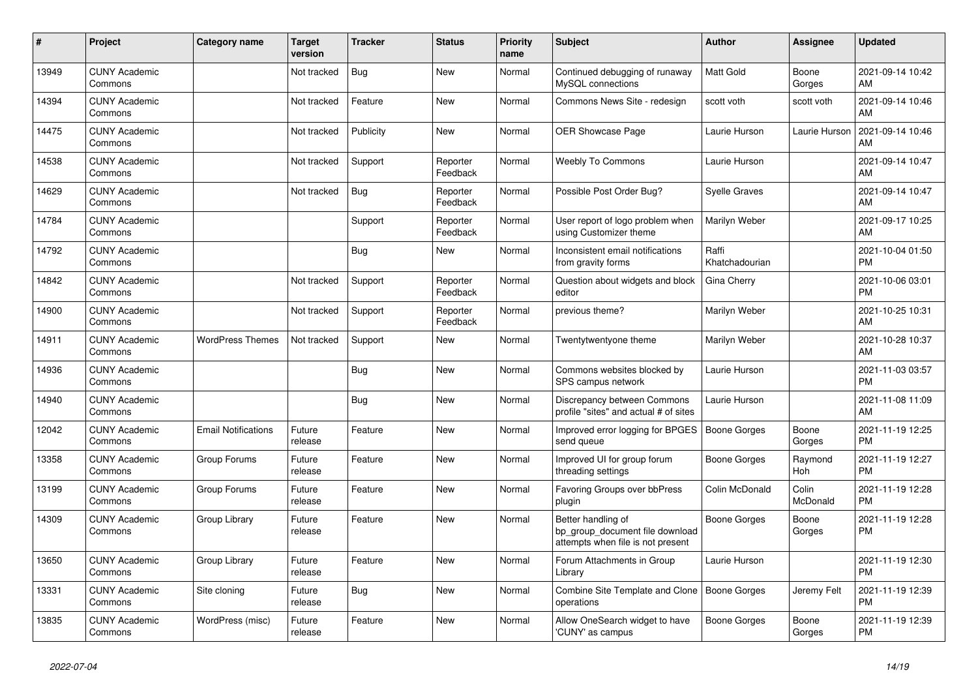| #     | Project                         | <b>Category name</b>       | <b>Target</b><br>version | <b>Tracker</b> | <b>Status</b>        | <b>Priority</b><br>name | <b>Subject</b>                                                                             | <b>Author</b>           | Assignee          | <b>Updated</b>                |
|-------|---------------------------------|----------------------------|--------------------------|----------------|----------------------|-------------------------|--------------------------------------------------------------------------------------------|-------------------------|-------------------|-------------------------------|
| 13949 | <b>CUNY Academic</b><br>Commons |                            | Not tracked              | Bug            | New                  | Normal                  | Continued debugging of runaway<br>MySQL connections                                        | <b>Matt Gold</b>        | Boone<br>Gorges   | 2021-09-14 10:42<br>AM        |
| 14394 | <b>CUNY Academic</b><br>Commons |                            | Not tracked              | Feature        | New                  | Normal                  | Commons News Site - redesign                                                               | scott voth              | scott voth        | 2021-09-14 10:46<br>AM        |
| 14475 | <b>CUNY Academic</b><br>Commons |                            | Not tracked              | Publicity      | <b>New</b>           | Normal                  | OER Showcase Page                                                                          | Laurie Hurson           | Laurie Hurson     | 2021-09-14 10:46<br>AM        |
| 14538 | <b>CUNY Academic</b><br>Commons |                            | Not tracked              | Support        | Reporter<br>Feedback | Normal                  | <b>Weebly To Commons</b>                                                                   | Laurie Hurson           |                   | 2021-09-14 10:47<br>AM        |
| 14629 | <b>CUNY Academic</b><br>Commons |                            | Not tracked              | Bug            | Reporter<br>Feedback | Normal                  | Possible Post Order Bug?                                                                   | <b>Syelle Graves</b>    |                   | 2021-09-14 10:47<br>AM        |
| 14784 | <b>CUNY Academic</b><br>Commons |                            |                          | Support        | Reporter<br>Feedback | Normal                  | User report of logo problem when<br>using Customizer theme                                 | Marilyn Weber           |                   | 2021-09-17 10:25<br>AM        |
| 14792 | <b>CUNY Academic</b><br>Commons |                            |                          | Bug            | <b>New</b>           | Normal                  | Inconsistent email notifications<br>from gravity forms                                     | Raffi<br>Khatchadourian |                   | 2021-10-04 01:50<br><b>PM</b> |
| 14842 | <b>CUNY Academic</b><br>Commons |                            | Not tracked              | Support        | Reporter<br>Feedback | Normal                  | Question about widgets and block<br>editor                                                 | Gina Cherry             |                   | 2021-10-06 03:01<br><b>PM</b> |
| 14900 | <b>CUNY Academic</b><br>Commons |                            | Not tracked              | Support        | Reporter<br>Feedback | Normal                  | previous theme?                                                                            | Marilyn Weber           |                   | 2021-10-25 10:31<br>AM        |
| 14911 | <b>CUNY Academic</b><br>Commons | <b>WordPress Themes</b>    | Not tracked              | Support        | New                  | Normal                  | Twentytwentyone theme                                                                      | Marilyn Weber           |                   | 2021-10-28 10:37<br>AM        |
| 14936 | <b>CUNY Academic</b><br>Commons |                            |                          | <b>Bug</b>     | <b>New</b>           | Normal                  | Commons websites blocked by<br>SPS campus network                                          | Laurie Hurson           |                   | 2021-11-03 03:57<br><b>PM</b> |
| 14940 | <b>CUNY Academic</b><br>Commons |                            |                          | <b>Bug</b>     | <b>New</b>           | Normal                  | Discrepancy between Commons<br>profile "sites" and actual # of sites                       | Laurie Hurson           |                   | 2021-11-08 11:09<br>AM        |
| 12042 | <b>CUNY Academic</b><br>Commons | <b>Email Notifications</b> | Future<br>release        | Feature        | <b>New</b>           | Normal                  | Improved error logging for BPGES<br>send queue                                             | Boone Gorges            | Boone<br>Gorges   | 2021-11-19 12:25<br><b>PM</b> |
| 13358 | <b>CUNY Academic</b><br>Commons | Group Forums               | Future<br>release        | Feature        | <b>New</b>           | Normal                  | Improved UI for group forum<br>threading settings                                          | Boone Gorges            | Raymond<br>Hoh    | 2021-11-19 12:27<br><b>PM</b> |
| 13199 | <b>CUNY Academic</b><br>Commons | Group Forums               | Future<br>release        | Feature        | <b>New</b>           | Normal                  | <b>Favoring Groups over bbPress</b><br>plugin                                              | Colin McDonald          | Colin<br>McDonald | 2021-11-19 12:28<br><b>PM</b> |
| 14309 | <b>CUNY Academic</b><br>Commons | Group Library              | Future<br>release        | Feature        | <b>New</b>           | Normal                  | Better handling of<br>bp_group_document file download<br>attempts when file is not present | Boone Gorges            | Boone<br>Gorges   | 2021-11-19 12:28<br><b>PM</b> |
| 13650 | <b>CUNY Academic</b><br>Commons | Group Library              | Future<br>release        | Feature        | <b>New</b>           | Normal                  | Forum Attachments in Group<br>Library                                                      | Laurie Hurson           |                   | 2021-11-19 12:30<br><b>PM</b> |
| 13331 | <b>CUNY Academic</b><br>Commons | Site cloning               | Future<br>release        | Bug            | <b>New</b>           | Normal                  | Combine Site Template and Clone   Boone Gorges<br>operations                               |                         | Jeremy Felt       | 2021-11-19 12:39<br><b>PM</b> |
| 13835 | <b>CUNY Academic</b><br>Commons | WordPress (misc)           | Future<br>release        | Feature        | <b>New</b>           | Normal                  | Allow OneSearch widget to have<br>'CUNY' as campus                                         | <b>Boone Gorges</b>     | Boone<br>Gorges   | 2021-11-19 12:39<br><b>PM</b> |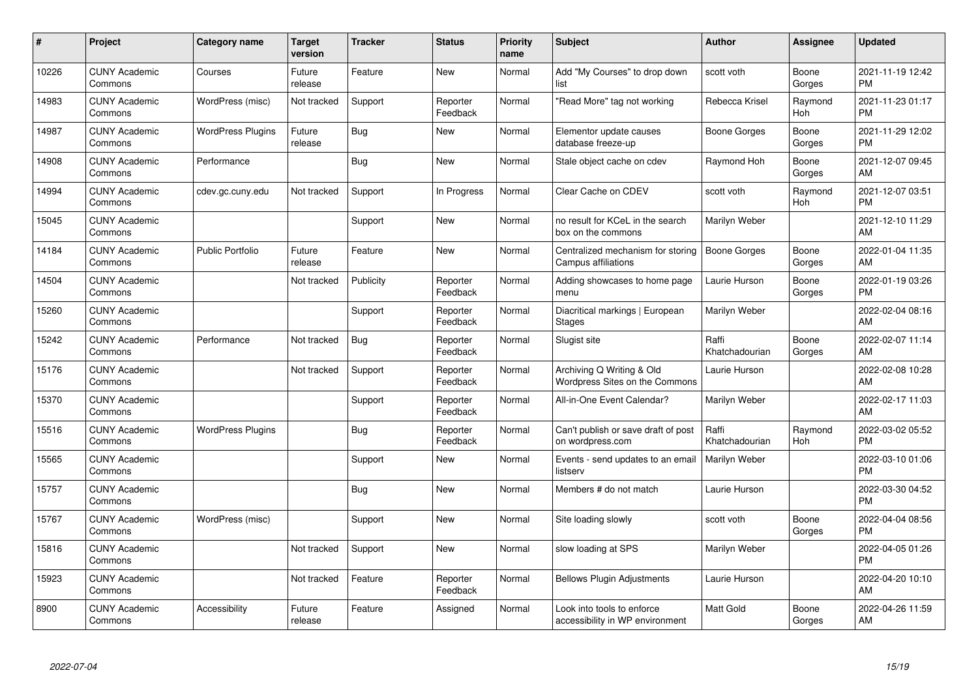| #     | Project                         | <b>Category name</b>     | <b>Target</b><br>version | <b>Tracker</b> | <b>Status</b>        | <b>Priority</b><br>name | <b>Subject</b>                                                | <b>Author</b>           | <b>Assignee</b> | <b>Updated</b>                |
|-------|---------------------------------|--------------------------|--------------------------|----------------|----------------------|-------------------------|---------------------------------------------------------------|-------------------------|-----------------|-------------------------------|
| 10226 | <b>CUNY Academic</b><br>Commons | Courses                  | Future<br>release        | Feature        | <b>New</b>           | Normal                  | Add "My Courses" to drop down<br>list                         | scott voth              | Boone<br>Gorges | 2021-11-19 12:42<br><b>PM</b> |
| 14983 | <b>CUNY Academic</b><br>Commons | WordPress (misc)         | Not tracked              | Support        | Reporter<br>Feedback | Normal                  | "Read More" tag not working                                   | Rebecca Krisel          | Raymond<br>Hoh  | 2021-11-23 01:17<br><b>PM</b> |
| 14987 | <b>CUNY Academic</b><br>Commons | <b>WordPress Plugins</b> | Future<br>release        | Bug            | <b>New</b>           | Normal                  | Elementor update causes<br>database freeze-up                 | Boone Gorges            | Boone<br>Gorges | 2021-11-29 12:02<br><b>PM</b> |
| 14908 | <b>CUNY Academic</b><br>Commons | Performance              |                          | Bug            | <b>New</b>           | Normal                  | Stale object cache on cdev                                    | Raymond Hoh             | Boone<br>Gorges | 2021-12-07 09:45<br>AM        |
| 14994 | <b>CUNY Academic</b><br>Commons | cdev.gc.cuny.edu         | Not tracked              | Support        | In Progress          | Normal                  | Clear Cache on CDEV                                           | scott voth              | Raymond<br>Hoh  | 2021-12-07 03:51<br><b>PM</b> |
| 15045 | <b>CUNY Academic</b><br>Commons |                          |                          | Support        | New                  | Normal                  | no result for KCeL in the search<br>box on the commons        | Marilyn Weber           |                 | 2021-12-10 11:29<br>AM        |
| 14184 | <b>CUNY Academic</b><br>Commons | <b>Public Portfolio</b>  | Future<br>release        | Feature        | <b>New</b>           | Normal                  | Centralized mechanism for storing<br>Campus affiliations      | <b>Boone Gorges</b>     | Boone<br>Gorges | 2022-01-04 11:35<br>AM        |
| 14504 | <b>CUNY Academic</b><br>Commons |                          | Not tracked              | Publicity      | Reporter<br>Feedback | Normal                  | Adding showcases to home page<br>menu                         | Laurie Hurson           | Boone<br>Gorges | 2022-01-19 03:26<br><b>PM</b> |
| 15260 | <b>CUNY Academic</b><br>Commons |                          |                          | Support        | Reporter<br>Feedback | Normal                  | Diacritical markings   European<br><b>Stages</b>              | Marilyn Weber           |                 | 2022-02-04 08:16<br>AM        |
| 15242 | <b>CUNY Academic</b><br>Commons | Performance              | Not tracked              | Bug            | Reporter<br>Feedback | Normal                  | Slugist site                                                  | Raffi<br>Khatchadourian | Boone<br>Gorges | 2022-02-07 11:14<br>AM        |
| 15176 | <b>CUNY Academic</b><br>Commons |                          | Not tracked              | Support        | Reporter<br>Feedback | Normal                  | Archiving Q Writing & Old<br>Wordpress Sites on the Commons   | Laurie Hurson           |                 | 2022-02-08 10:28<br>AM        |
| 15370 | <b>CUNY Academic</b><br>Commons |                          |                          | Support        | Reporter<br>Feedback | Normal                  | All-in-One Event Calendar?                                    | Marilyn Weber           |                 | 2022-02-17 11:03<br>AM        |
| 15516 | <b>CUNY Academic</b><br>Commons | <b>WordPress Plugins</b> |                          | Bug            | Reporter<br>Feedback | Normal                  | Can't publish or save draft of post<br>on wordpress.com       | Raffi<br>Khatchadourian | Raymond<br>Hoh  | 2022-03-02 05:52<br><b>PM</b> |
| 15565 | <b>CUNY Academic</b><br>Commons |                          |                          | Support        | New                  | Normal                  | Events - send updates to an email<br>listserv                 | Marilyn Weber           |                 | 2022-03-10 01:06<br><b>PM</b> |
| 15757 | <b>CUNY Academic</b><br>Commons |                          |                          | Bug            | <b>New</b>           | Normal                  | Members # do not match                                        | Laurie Hurson           |                 | 2022-03-30 04:52<br><b>PM</b> |
| 15767 | <b>CUNY Academic</b><br>Commons | WordPress (misc)         |                          | Support        | New                  | Normal                  | Site loading slowly                                           | scott voth              | Boone<br>Gorges | 2022-04-04 08:56<br><b>PM</b> |
| 15816 | <b>CUNY Academic</b><br>Commons |                          | Not tracked              | Support        | <b>New</b>           | Normal                  | slow loading at SPS                                           | Marilyn Weber           |                 | 2022-04-05 01:26<br><b>PM</b> |
| 15923 | <b>CUNY Academic</b><br>Commons |                          | Not tracked              | Feature        | Reporter<br>Feedback | Normal                  | <b>Bellows Plugin Adjustments</b>                             | Laurie Hurson           |                 | 2022-04-20 10:10<br>AM        |
| 8900  | <b>CUNY Academic</b><br>Commons | Accessibility            | Future<br>release        | Feature        | Assigned             | Normal                  | Look into tools to enforce<br>accessibility in WP environment | <b>Matt Gold</b>        | Boone<br>Gorges | 2022-04-26 11:59<br>AM        |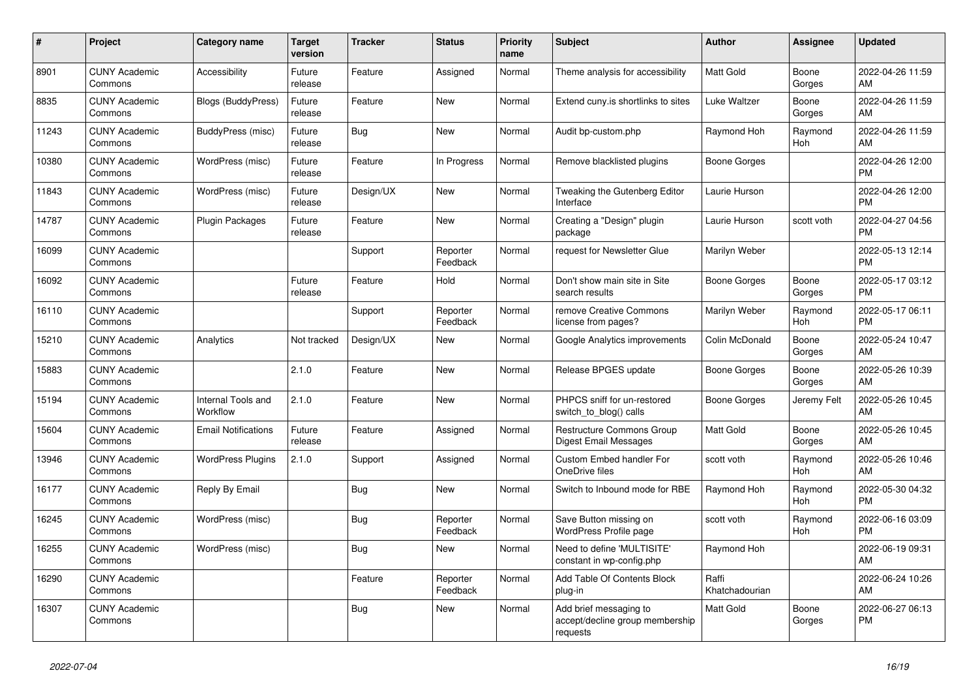| #     | Project                         | <b>Category name</b>           | <b>Target</b><br>version | <b>Tracker</b> | <b>Status</b>        | <b>Priority</b><br>name | <b>Subject</b>                                                        | <b>Author</b>           | <b>Assignee</b> | <b>Updated</b>                |
|-------|---------------------------------|--------------------------------|--------------------------|----------------|----------------------|-------------------------|-----------------------------------------------------------------------|-------------------------|-----------------|-------------------------------|
| 8901  | <b>CUNY Academic</b><br>Commons | Accessibility                  | Future<br>release        | Feature        | Assigned             | Normal                  | Theme analysis for accessibility                                      | <b>Matt Gold</b>        | Boone<br>Gorges | 2022-04-26 11:59<br>AM        |
| 8835  | <b>CUNY Academic</b><br>Commons | Blogs (BuddyPress)             | Future<br>release        | Feature        | New                  | Normal                  | Extend cuny is shortlinks to sites                                    | Luke Waltzer            | Boone<br>Gorges | 2022-04-26 11:59<br>AM        |
| 11243 | <b>CUNY Academic</b><br>Commons | BuddyPress (misc)              | Future<br>release        | Bug            | <b>New</b>           | Normal                  | Audit bp-custom.php                                                   | Raymond Hoh             | Raymond<br>Hoh  | 2022-04-26 11:59<br>AM        |
| 10380 | <b>CUNY Academic</b><br>Commons | WordPress (misc)               | Future<br>release        | Feature        | In Progress          | Normal                  | Remove blacklisted plugins                                            | Boone Gorges            |                 | 2022-04-26 12:00<br><b>PM</b> |
| 11843 | <b>CUNY Academic</b><br>Commons | WordPress (misc)               | Future<br>release        | Design/UX      | New                  | Normal                  | Tweaking the Gutenberg Editor<br>Interface                            | Laurie Hurson           |                 | 2022-04-26 12:00<br><b>PM</b> |
| 14787 | <b>CUNY Academic</b><br>Commons | Plugin Packages                | Future<br>release        | Feature        | <b>New</b>           | Normal                  | Creating a "Design" plugin<br>package                                 | Laurie Hurson           | scott voth      | 2022-04-27 04:56<br><b>PM</b> |
| 16099 | <b>CUNY Academic</b><br>Commons |                                |                          | Support        | Reporter<br>Feedback | Normal                  | request for Newsletter Glue                                           | Marilyn Weber           |                 | 2022-05-13 12:14<br><b>PM</b> |
| 16092 | <b>CUNY Academic</b><br>Commons |                                | Future<br>release        | Feature        | Hold                 | Normal                  | Don't show main site in Site<br>search results                        | Boone Gorges            | Boone<br>Gorges | 2022-05-17 03:12<br><b>PM</b> |
| 16110 | <b>CUNY Academic</b><br>Commons |                                |                          | Support        | Reporter<br>Feedback | Normal                  | remove Creative Commons<br>license from pages?                        | Marilyn Weber           | Raymond<br>Hoh  | 2022-05-17 06:11<br><b>PM</b> |
| 15210 | <b>CUNY Academic</b><br>Commons | Analytics                      | Not tracked              | Design/UX      | <b>New</b>           | Normal                  | Google Analytics improvements                                         | Colin McDonald          | Boone<br>Gorges | 2022-05-24 10:47<br>AM        |
| 15883 | <b>CUNY Academic</b><br>Commons |                                | 2.1.0                    | Feature        | New                  | Normal                  | Release BPGES update                                                  | Boone Gorges            | Boone<br>Gorges | 2022-05-26 10:39<br>AM        |
| 15194 | <b>CUNY Academic</b><br>Commons | Internal Tools and<br>Workflow | 2.1.0                    | Feature        | New                  | Normal                  | PHPCS sniff for un-restored<br>switch to blog() calls                 | Boone Gorges            | Jeremy Felt     | 2022-05-26 10:45<br>AM        |
| 15604 | <b>CUNY Academic</b><br>Commons | <b>Email Notifications</b>     | Future<br>release        | Feature        | Assigned             | Normal                  | Restructure Commons Group<br>Digest Email Messages                    | <b>Matt Gold</b>        | Boone<br>Gorges | 2022-05-26 10:45<br>AM        |
| 13946 | <b>CUNY Academic</b><br>Commons | <b>WordPress Plugins</b>       | 2.1.0                    | Support        | Assigned             | Normal                  | Custom Embed handler For<br>OneDrive files                            | scott voth              | Raymond<br>Hoh  | 2022-05-26 10:46<br>AM        |
| 16177 | <b>CUNY Academic</b><br>Commons | Reply By Email                 |                          | <b>Bug</b>     | New                  | Normal                  | Switch to Inbound mode for RBE                                        | Raymond Hoh             | Raymond<br>Hoh  | 2022-05-30 04:32<br><b>PM</b> |
| 16245 | <b>CUNY Academic</b><br>Commons | WordPress (misc)               |                          | Bug            | Reporter<br>Feedback | Normal                  | Save Button missing on<br>WordPress Profile page                      | scott voth              | Raymond<br>Hoh  | 2022-06-16 03:09<br><b>PM</b> |
| 16255 | <b>CUNY Academic</b><br>Commons | WordPress (misc)               |                          | Bug            | <b>New</b>           | Normal                  | Need to define 'MULTISITE'<br>constant in wp-config.php               | Raymond Hoh             |                 | 2022-06-19 09:31<br>AM        |
| 16290 | <b>CUNY Academic</b><br>Commons |                                |                          | Feature        | Reporter<br>Feedback | Normal                  | Add Table Of Contents Block<br>plug-in                                | Raffi<br>Khatchadourian |                 | 2022-06-24 10:26<br>AM        |
| 16307 | <b>CUNY Academic</b><br>Commons |                                |                          | Bug            | New                  | Normal                  | Add brief messaging to<br>accept/decline group membership<br>requests | <b>Matt Gold</b>        | Boone<br>Gorges | 2022-06-27 06:13<br><b>PM</b> |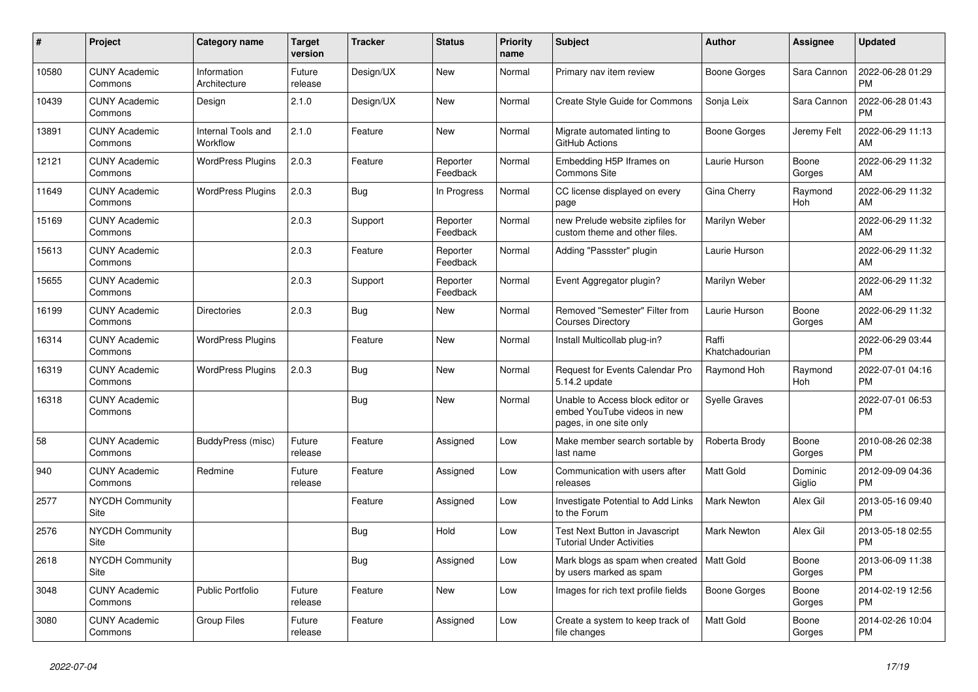| $\pmb{\sharp}$ | <b>Project</b>                  | <b>Category name</b>           | <b>Target</b><br>version | <b>Tracker</b> | <b>Status</b>        | <b>Priority</b><br>name | <b>Subject</b>                                                                             | <b>Author</b>           | Assignee          | <b>Updated</b>                |
|----------------|---------------------------------|--------------------------------|--------------------------|----------------|----------------------|-------------------------|--------------------------------------------------------------------------------------------|-------------------------|-------------------|-------------------------------|
| 10580          | <b>CUNY Academic</b><br>Commons | Information<br>Architecture    | Future<br>release        | Design/UX      | New                  | Normal                  | Primary nav item review                                                                    | Boone Gorges            | Sara Cannon       | 2022-06-28 01:29<br><b>PM</b> |
| 10439          | <b>CUNY Academic</b><br>Commons | Design                         | 2.1.0                    | Design/UX      | New                  | Normal                  | <b>Create Style Guide for Commons</b>                                                      | Sonja Leix              | Sara Cannon       | 2022-06-28 01:43<br><b>PM</b> |
| 13891          | <b>CUNY Academic</b><br>Commons | Internal Tools and<br>Workflow | 2.1.0                    | Feature        | New                  | Normal                  | Migrate automated linting to<br>GitHub Actions                                             | Boone Gorges            | Jeremy Felt       | 2022-06-29 11:13<br>AM        |
| 12121          | <b>CUNY Academic</b><br>Commons | <b>WordPress Plugins</b>       | 2.0.3                    | Feature        | Reporter<br>Feedback | Normal                  | Embedding H5P Iframes on<br><b>Commons Site</b>                                            | Laurie Hurson           | Boone<br>Gorges   | 2022-06-29 11:32<br><b>AM</b> |
| 11649          | <b>CUNY Academic</b><br>Commons | <b>WordPress Plugins</b>       | 2.0.3                    | Bug            | In Progress          | Normal                  | CC license displayed on every<br>page                                                      | <b>Gina Cherry</b>      | Raymond<br>Hoh    | 2022-06-29 11:32<br>AM        |
| 15169          | <b>CUNY Academic</b><br>Commons |                                | 2.0.3                    | Support        | Reporter<br>Feedback | Normal                  | new Prelude website zipfiles for<br>custom theme and other files.                          | Marilyn Weber           |                   | 2022-06-29 11:32<br>AM        |
| 15613          | <b>CUNY Academic</b><br>Commons |                                | 2.0.3                    | Feature        | Reporter<br>Feedback | Normal                  | Adding "Passster" plugin                                                                   | Laurie Hurson           |                   | 2022-06-29 11:32<br>AM        |
| 15655          | <b>CUNY Academic</b><br>Commons |                                | 2.0.3                    | Support        | Reporter<br>Feedback | Normal                  | Event Aggregator plugin?                                                                   | Marilyn Weber           |                   | 2022-06-29 11:32<br>AM        |
| 16199          | <b>CUNY Academic</b><br>Commons | <b>Directories</b>             | 2.0.3                    | <b>Bug</b>     | New                  | Normal                  | Removed "Semester" Filter from<br><b>Courses Directory</b>                                 | Laurie Hurson           | Boone<br>Gorges   | 2022-06-29 11:32<br>AM        |
| 16314          | <b>CUNY Academic</b><br>Commons | <b>WordPress Plugins</b>       |                          | Feature        | New                  | Normal                  | Install Multicollab plug-in?                                                               | Raffi<br>Khatchadourian |                   | 2022-06-29 03:44<br><b>PM</b> |
| 16319          | <b>CUNY Academic</b><br>Commons | <b>WordPress Plugins</b>       | 2.0.3                    | Bug            | <b>New</b>           | Normal                  | <b>Request for Events Calendar Pro</b><br>5.14.2 update                                    | Raymond Hoh             | Raymond<br>Hoh    | 2022-07-01 04:16<br><b>PM</b> |
| 16318          | <b>CUNY Academic</b><br>Commons |                                |                          | <b>Bug</b>     | New                  | Normal                  | Unable to Access block editor or<br>embed YouTube videos in new<br>pages, in one site only | Syelle Graves           |                   | 2022-07-01 06:53<br><b>PM</b> |
| 58             | <b>CUNY Academic</b><br>Commons | BuddyPress (misc)              | Future<br>release        | Feature        | Assigned             | Low                     | Make member search sortable by<br>last name                                                | Roberta Brody           | Boone<br>Gorges   | 2010-08-26 02:38<br><b>PM</b> |
| 940            | <b>CUNY Academic</b><br>Commons | Redmine                        | Future<br>release        | Feature        | Assigned             | Low                     | Communication with users after<br>releases                                                 | Matt Gold               | Dominic<br>Giglio | 2012-09-09 04:36<br><b>PM</b> |
| 2577           | <b>NYCDH Community</b><br>Site  |                                |                          | Feature        | Assigned             | Low                     | Investigate Potential to Add Links<br>to the Forum                                         | Mark Newton             | Alex Gil          | 2013-05-16 09:40<br><b>PM</b> |
| 2576           | <b>NYCDH Community</b><br>Site  |                                |                          | Bug            | Hold                 | Low                     | Test Next Button in Javascript<br><b>Tutorial Under Activities</b>                         | <b>Mark Newton</b>      | Alex Gil          | 2013-05-18 02:55<br><b>PM</b> |
| 2618           | <b>NYCDH Community</b><br>Site  |                                |                          | Bug            | Assigned             | Low                     | Mark blogs as spam when created<br>by users marked as spam                                 | Matt Gold               | Boone<br>Gorges   | 2013-06-09 11:38<br><b>PM</b> |
| 3048           | <b>CUNY Academic</b><br>Commons | <b>Public Portfolio</b>        | Future<br>release        | Feature        | New                  | Low                     | Images for rich text profile fields                                                        | Boone Gorges            | Boone<br>Gorges   | 2014-02-19 12:56<br><b>PM</b> |
| 3080           | <b>CUNY Academic</b><br>Commons | Group Files                    | Future<br>release        | Feature        | Assigned             | Low                     | Create a system to keep track of<br>file changes                                           | Matt Gold               | Boone<br>Gorges   | 2014-02-26 10:04<br><b>PM</b> |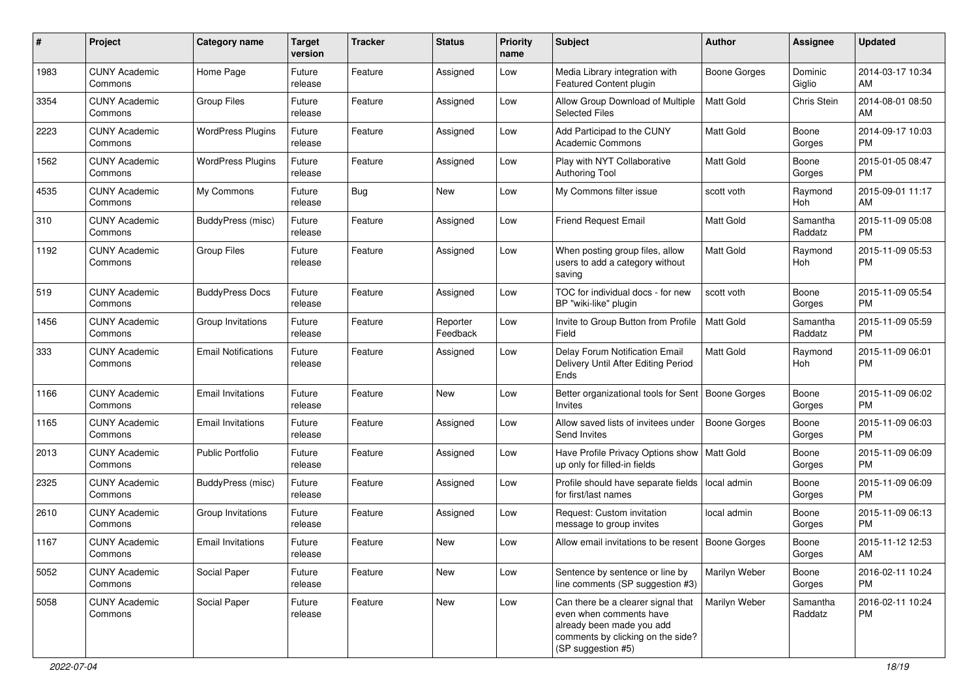| #    | Project                         | <b>Category name</b>       | <b>Target</b><br>version | <b>Tracker</b> | <b>Status</b>        | Priority<br>name | <b>Subject</b>                                                                                                                                        | <b>Author</b>       | <b>Assignee</b>     | <b>Updated</b>                |
|------|---------------------------------|----------------------------|--------------------------|----------------|----------------------|------------------|-------------------------------------------------------------------------------------------------------------------------------------------------------|---------------------|---------------------|-------------------------------|
| 1983 | <b>CUNY Academic</b><br>Commons | Home Page                  | Future<br>release        | Feature        | Assigned             | Low              | Media Library integration with<br><b>Featured Content plugin</b>                                                                                      | <b>Boone Gorges</b> | Dominic<br>Giglio   | 2014-03-17 10:34<br>AM.       |
| 3354 | <b>CUNY Academic</b><br>Commons | <b>Group Files</b>         | Future<br>release        | Feature        | Assigned             | Low              | Allow Group Download of Multiple<br><b>Selected Files</b>                                                                                             | <b>Matt Gold</b>    | Chris Stein         | 2014-08-01 08:50<br>AM        |
| 2223 | <b>CUNY Academic</b><br>Commons | <b>WordPress Plugins</b>   | Future<br>release        | Feature        | Assigned             | Low              | Add Participad to the CUNY<br><b>Academic Commons</b>                                                                                                 | Matt Gold           | Boone<br>Gorges     | 2014-09-17 10:03<br><b>PM</b> |
| 1562 | <b>CUNY Academic</b><br>Commons | <b>WordPress Plugins</b>   | Future<br>release        | Feature        | Assigned             | Low              | Play with NYT Collaborative<br><b>Authoring Tool</b>                                                                                                  | <b>Matt Gold</b>    | Boone<br>Gorges     | 2015-01-05 08:47<br><b>PM</b> |
| 4535 | <b>CUNY Academic</b><br>Commons | My Commons                 | Future<br>release        | Bug            | New                  | Low              | My Commons filter issue                                                                                                                               | scott voth          | Raymond<br>Hoh      | 2015-09-01 11:17<br>AM        |
| 310  | <b>CUNY Academic</b><br>Commons | BuddyPress (misc)          | Future<br>release        | Feature        | Assigned             | Low              | <b>Friend Request Email</b>                                                                                                                           | <b>Matt Gold</b>    | Samantha<br>Raddatz | 2015-11-09 05:08<br><b>PM</b> |
| 1192 | <b>CUNY Academic</b><br>Commons | <b>Group Files</b>         | Future<br>release        | Feature        | Assigned             | Low              | When posting group files, allow<br>users to add a category without<br>saving                                                                          | <b>Matt Gold</b>    | Raymond<br>Hoh      | 2015-11-09 05:53<br><b>PM</b> |
| 519  | <b>CUNY Academic</b><br>Commons | <b>BuddyPress Docs</b>     | Future<br>release        | Feature        | Assigned             | Low              | TOC for individual docs - for new<br>BP "wiki-like" plugin                                                                                            | scott voth          | Boone<br>Gorges     | 2015-11-09 05:54<br><b>PM</b> |
| 1456 | <b>CUNY Academic</b><br>Commons | Group Invitations          | Future<br>release        | Feature        | Reporter<br>Feedback | Low              | Invite to Group Button from Profile<br>Field                                                                                                          | <b>Matt Gold</b>    | Samantha<br>Raddatz | 2015-11-09 05:59<br><b>PM</b> |
| 333  | <b>CUNY Academic</b><br>Commons | <b>Email Notifications</b> | Future<br>release        | Feature        | Assigned             | Low              | Delay Forum Notification Email<br>Delivery Until After Editing Period<br>Ends                                                                         | <b>Matt Gold</b>    | Raymond<br>Hoh      | 2015-11-09 06:01<br><b>PM</b> |
| 1166 | <b>CUNY Academic</b><br>Commons | <b>Email Invitations</b>   | Future<br>release        | Feature        | New                  | Low              | Better organizational tools for Sent<br><b>Invites</b>                                                                                                | Boone Gorges        | Boone<br>Gorges     | 2015-11-09 06:02<br><b>PM</b> |
| 1165 | <b>CUNY Academic</b><br>Commons | <b>Email Invitations</b>   | Future<br>release        | Feature        | Assigned             | Low              | Allow saved lists of invitees under<br>Send Invites                                                                                                   | <b>Boone Gorges</b> | Boone<br>Gorges     | 2015-11-09 06:03<br><b>PM</b> |
| 2013 | <b>CUNY Academic</b><br>Commons | Public Portfolio           | Future<br>release        | Feature        | Assigned             | Low              | Have Profile Privacy Options show<br>up only for filled-in fields                                                                                     | <b>Matt Gold</b>    | Boone<br>Gorges     | 2015-11-09 06:09<br>PM        |
| 2325 | <b>CUNY Academic</b><br>Commons | BuddyPress (misc)          | Future<br>release        | Feature        | Assigned             | Low              | Profile should have separate fields<br>for first/last names                                                                                           | local admin         | Boone<br>Gorges     | 2015-11-09 06:09<br>PM.       |
| 2610 | <b>CUNY Academic</b><br>Commons | Group Invitations          | Future<br>release        | Feature        | Assigned             | Low              | Request: Custom invitation<br>message to group invites                                                                                                | local admin         | Boone<br>Gorges     | 2015-11-09 06:13<br>PM.       |
| 1167 | <b>CUNY Academic</b><br>Commons | <b>Email Invitations</b>   | Future<br>release        | Feature        | New                  | Low              | Allow email invitations to be resent   Boone Gorges                                                                                                   |                     | Boone<br>Gorges     | 2015-11-12 12:53<br>AM        |
| 5052 | <b>CUNY Academic</b><br>Commons | Social Paper               | Future<br>release        | Feature        | New                  | Low              | Sentence by sentence or line by<br>line comments (SP suggestion #3)                                                                                   | Marilyn Weber       | Boone<br>Gorges     | 2016-02-11 10:24<br><b>PM</b> |
| 5058 | <b>CUNY Academic</b><br>Commons | Social Paper               | Future<br>release        | Feature        | New                  | Low              | Can there be a clearer signal that<br>even when comments have<br>already been made you add<br>comments by clicking on the side?<br>(SP suggestion #5) | Marilyn Weber       | Samantha<br>Raddatz | 2016-02-11 10:24<br><b>PM</b> |